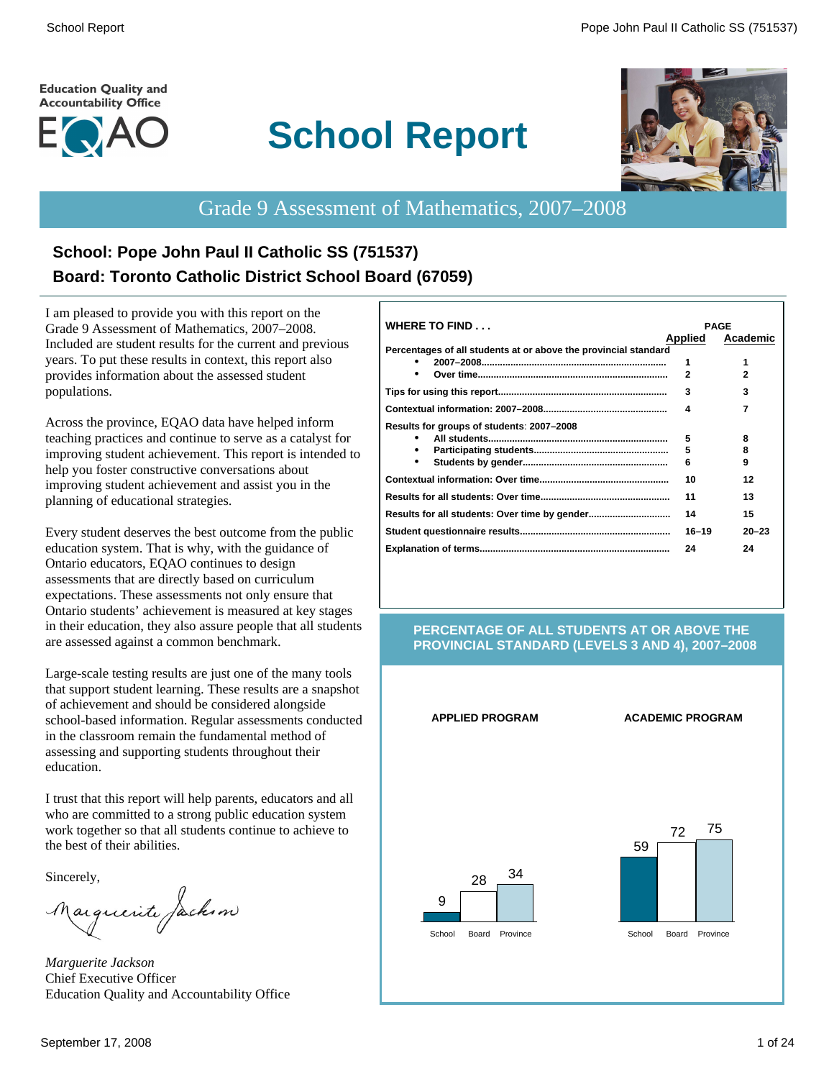#### **Education Quality and Accountability Office**



# **School Report**



# Grade 9 Assessment of Mathematics, 2007–2008

# **School: Pope John Paul II Catholic SS (751537) Board: Toronto Catholic District School Board (67059)**

I am pleased to provide you with this report on the Grade 9 Assessment of Mathematics, 2007–2008. Included are student results for the current and previous years. To put these results in context, this report also provides information about the assessed student populations.

Across the province, EQAO data have helped inform teaching practices and continue to serve as a catalyst for improving student achievement. This report is intended to help you foster constructive conversations about improving student achievement and assist you in the planning of educational strategies.

Every student deserves the best outcome from the public education system. That is why, with the guidance of Ontario educators, EQAO continues to design assessments that are directly based on curriculum expectations. These assessments not only ensure that Ontario students' achievement is measured at key stages in their education, they also assure people that all students are assessed against a common benchmark.

Large-scale testing results are just one of the many tools that support student learning. These results are a snapshot of achievement and should be considered alongside school-based information. Regular assessments conducted in the classroom remain the fundamental method of assessing and supporting students throughout their education.

I trust that this report will help parents, educators and all who are committed to a strong public education system work together so that all students continue to achieve to the best of their abilities.

Sincerely,

Marguerite Jackson

*Marguerite Jackson* Chief Executive Officer Education Quality and Accountability Office

| <b>WHERE TO FIND</b>                                            |                | <b>PAGE</b> |
|-----------------------------------------------------------------|----------------|-------------|
|                                                                 | <b>Applied</b> | Academic    |
| Percentages of all students at or above the provincial standard |                |             |
|                                                                 | 1              | 1           |
|                                                                 | $\mathbf{2}$   | 2           |
|                                                                 | 3              | 3           |
|                                                                 | Δ              | 7           |
| Results for groups of students: 2007-2008                       |                |             |
|                                                                 | 5              | 8           |
|                                                                 | 5              | 8           |
| ٠                                                               | 6              | 9           |
|                                                                 | 10             | 12          |
|                                                                 | 11             | 13          |
|                                                                 | 14             | 15          |
|                                                                 | $16 - 19$      | $20 - 23$   |
|                                                                 | 24             | 24          |

#### **PERCENTAGE OF ALL STUDENTS AT OR ABOVE THE PROVINCIAL STANDARD (LEVELS 3 AND 4), 2007–2008**

#### **APPLIED PROGRAM ACADEMIC PROGRAM**



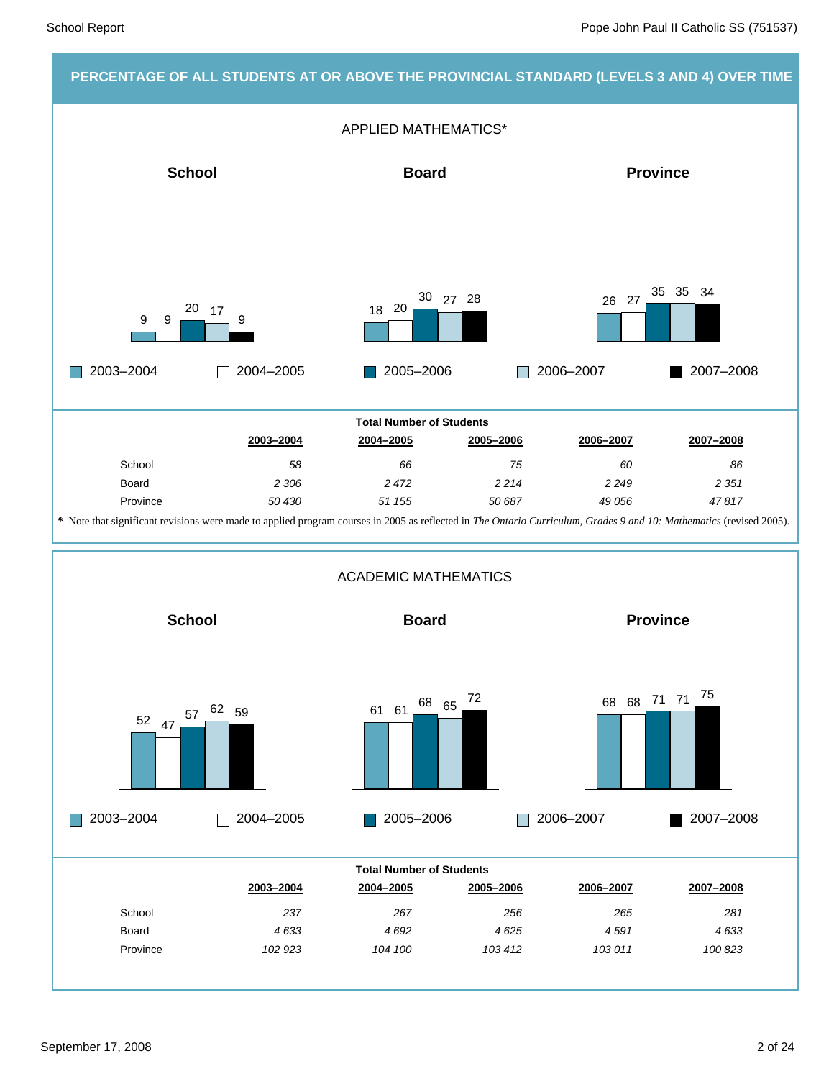### **PERCENTAGE OF ALL STUDENTS AT OR ABOVE THE PROVINCIAL STANDARD (LEVELS 3 AND 4) OVER TIME**

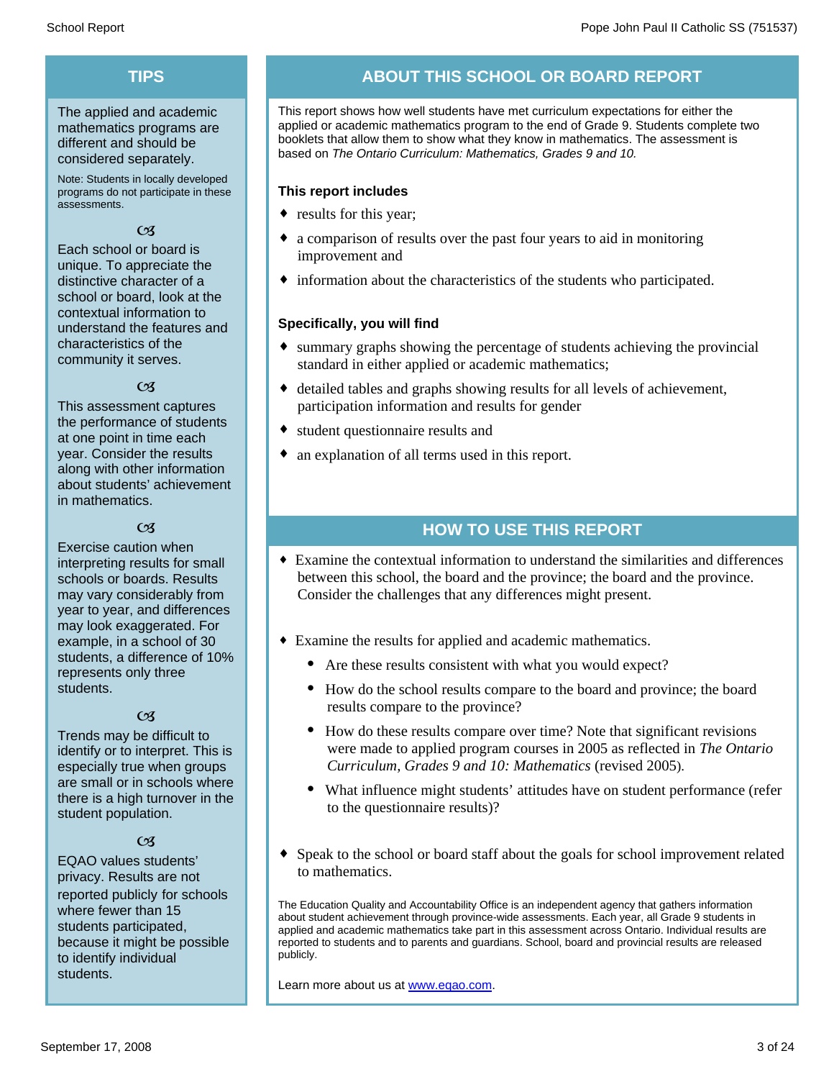# **TIPS**

The applied and academic mathematics programs are different and should be considered separately.

Note: Students in locally developed programs do not participate in these assessments.

#### $\mathfrak{C}$

Each school or board is unique. To appreciate the distinctive character of a school or board, look at the contextual information to understand the features and characteristics of the community it serves.

#### $\alpha$

This assessment captures the performance of students at one point in time each year. Consider the results along with other information about students' achievement in mathematics.

### $\alpha$

Exercise caution when interpreting results for small schools or boards. Results may vary considerably from year to year, and differences may look exaggerated. For example, in a school of 30 students, a difference of 10% represents only three students.

#### $\mathfrak{C}$

Trends may be difficult to identify or to interpret. This is especially true when groups are small or in schools where there is a high turnover in the student population.

#### $C<sub>3</sub>$

EQAO values students' privacy. Results are not reported publicly for schools where fewer than 15 students participated, because it might be possible to identify individual students.

# **ABOUT THIS SCHOOL OR BOARD REPORT**

This report shows how well students have met curriculum expectations for either the applied or academic mathematics program to the end of Grade 9. Students complete two booklets that allow them to show what they know in mathematics. The assessment is based on *The Ontario Curriculum: Mathematics, Grades 9 and 10.*

#### **This report includes**

- results for this year;
- a comparison of results over the past four years to aid in monitoring improvement and
- $\bullet$  information about the characteristics of the students who participated.

#### **Specifically, you will find**

- $\bullet$  summary graphs showing the percentage of students achieving the provincial standard in either applied or academic mathematics;
- $\bullet$  detailed tables and graphs showing results for all levels of achievement, participation information and results for gender
- student questionnaire results and
- $\bullet$  an explanation of all terms used in this report.

### **HOW TO USE THIS REPORT**

- ¨ Examine the contextual information to understand the similarities and differences between this school, the board and the province; the board and the province. Consider the challenges that any differences might present.
- Examine the results for applied and academic mathematics.
	- Are these results consistent with what you would expect?
	- · How do the school results compare to the board and province; the board results compare to the province?
	- · How do these results compare over time? Note that significant revisions were made to applied program courses in 2005 as reflected in *The Ontario Curriculum, Grades 9 and 10: Mathematics* (revised 2005).
	- What influence might students' attitudes have on student performance (refer to the questionnaire results)?
- Speak to the school or board staff about the goals for school improvement related to mathematics.

The Education Quality and Accountability Office is an independent agency that gathers information about student achievement through province-wide assessments. Each year, all Grade 9 students in applied and academic mathematics take part in this assessment across Ontario. Individual results are reported to students and to parents and guardians. School, board and provincial results are released publicly.

Learn more about us at www.eqao.com.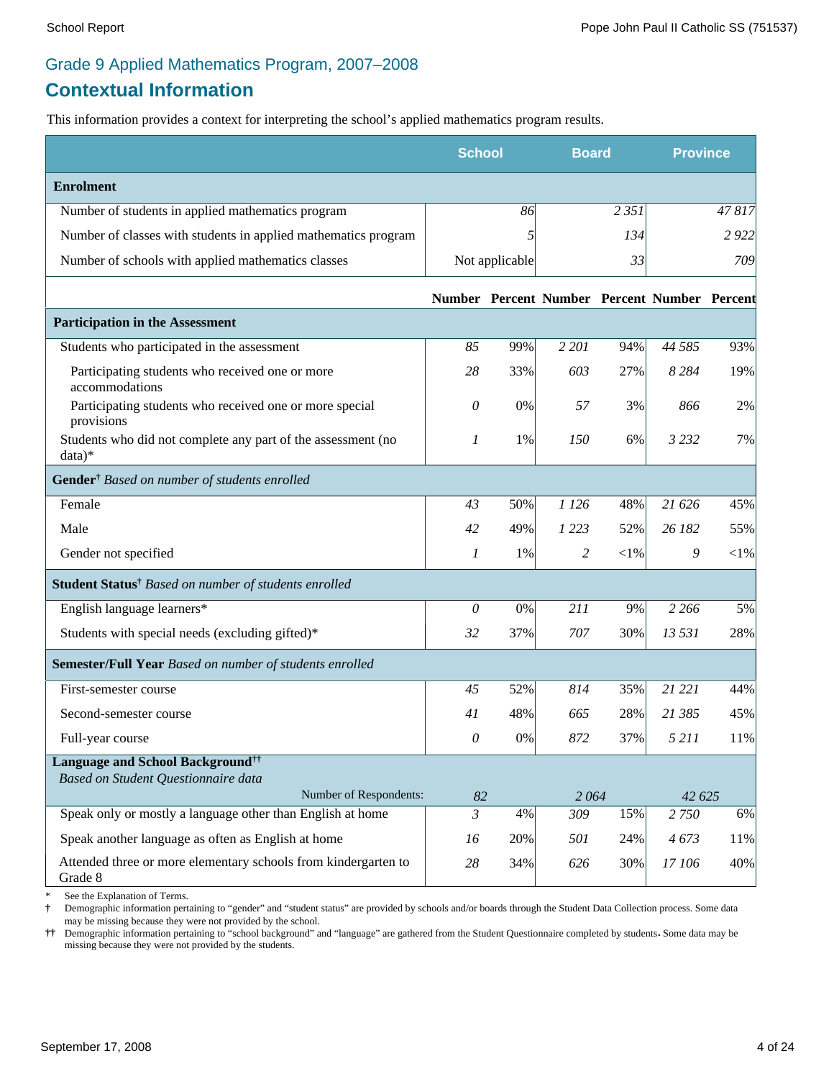# Grade 9 Applied Mathematics Program, 2007–2008

# **Contextual Information**

This information provides a context for interpreting the school's applied mathematics program results.

|                                                                           | <b>School</b>             |                | <b>Board</b> |          | <b>Province</b>                              |                   |
|---------------------------------------------------------------------------|---------------------------|----------------|--------------|----------|----------------------------------------------|-------------------|
| <b>Enrolment</b>                                                          |                           |                |              |          |                                              |                   |
| Number of students in applied mathematics program                         |                           | 86             |              | 2 3 5 1  |                                              | $\frac{1}{47817}$ |
| Number of classes with students in applied mathematics program            |                           | 5              |              | 134      |                                              | 2922              |
| Number of schools with applied mathematics classes                        |                           | Not applicable |              | 33       |                                              | 709               |
|                                                                           |                           |                |              |          | Number Percent Number Percent Number Percent |                   |
| <b>Participation in the Assessment</b>                                    |                           |                |              |          |                                              |                   |
| Students who participated in the assessment                               | 85                        | 99%            | 2 201        | 94%      | 44 5 85                                      | 93%               |
| Participating students who received one or more<br>accommodations         | 28                        | 33%            | 603          | 27%      | 8 2 8 4                                      | 19%               |
| Participating students who received one or more special<br>provisions     | 0                         | 0%             | 57           | 3%       | 866                                          | 2%                |
| Students who did not complete any part of the assessment (no<br>$data)*$  | 1                         | 1%             | 150          | 6%       | 3 2 3 2                                      | 7%                |
| Gender <sup>†</sup> Based on number of students enrolled                  |                           |                |              |          |                                              |                   |
| Female                                                                    | 43                        | 50%            | 1 1 26       | 48%      | 21 626                                       | 45%               |
| Male                                                                      | 42                        | 49%            | 1 2 2 3      | 52%      | 26 182                                       | 55%               |
| Gender not specified                                                      | 1                         | 1%             | 2            | ${<}1\%$ | 9                                            | ${<}1\%$          |
| Student Status <sup>†</sup> Based on number of students enrolled          |                           |                |              |          |                                              |                   |
| English language learners*                                                | 0                         | $0\%$          | 211          | 9%       | 2 2 6 6                                      | 5%                |
| Students with special needs (excluding gifted)*                           | 32                        | 37%            | 707          | 30%      | 13 531                                       | 28%               |
| Semester/Full Year Based on number of students enrolled                   |                           |                |              |          |                                              |                   |
| First-semester course                                                     | 45                        | 52%            | 814          | 35%      | 21 221                                       | 44%               |
| Second-semester course                                                    | 41                        | 48%            | 665          | 28%      | 21 385                                       | 45%               |
| Full-year course                                                          | 0                         | 0%             | 872          | 37%      | 5 2 1 1                                      | 11%               |
| <b>Language and School Background</b> <sup>††</sup>                       |                           |                |              |          |                                              |                   |
| Based on Student Questionnaire data<br>Number of Respondents:             | 82                        |                | 2064         |          | 42 625                                       |                   |
| Speak only or mostly a language other than English at home                | $\overline{\mathfrak{z}}$ | 4%             | 309          | 15%      | 2 7 5 0                                      | 6%                |
| Speak another language as often as English at home                        | 16                        | 20%            | 501          | 24%      | 4673                                         | 11%               |
| Attended three or more elementary schools from kindergarten to<br>Grade 8 | 28                        | 34%            | 626          | 30%      | 17 106                                       | 40%               |

See the Explanation of Terms.

**†** Demographic information pertaining to "gender" and "student status" are provided by schools and/or boards through the Student Data Collection process. Some data may be missing because they were not provided by the school.

**††** Demographic information pertaining to "school background" and "language" are gathered from the Student Questionnaire completed by students**.** Some data may be missing because they were not provided by the students.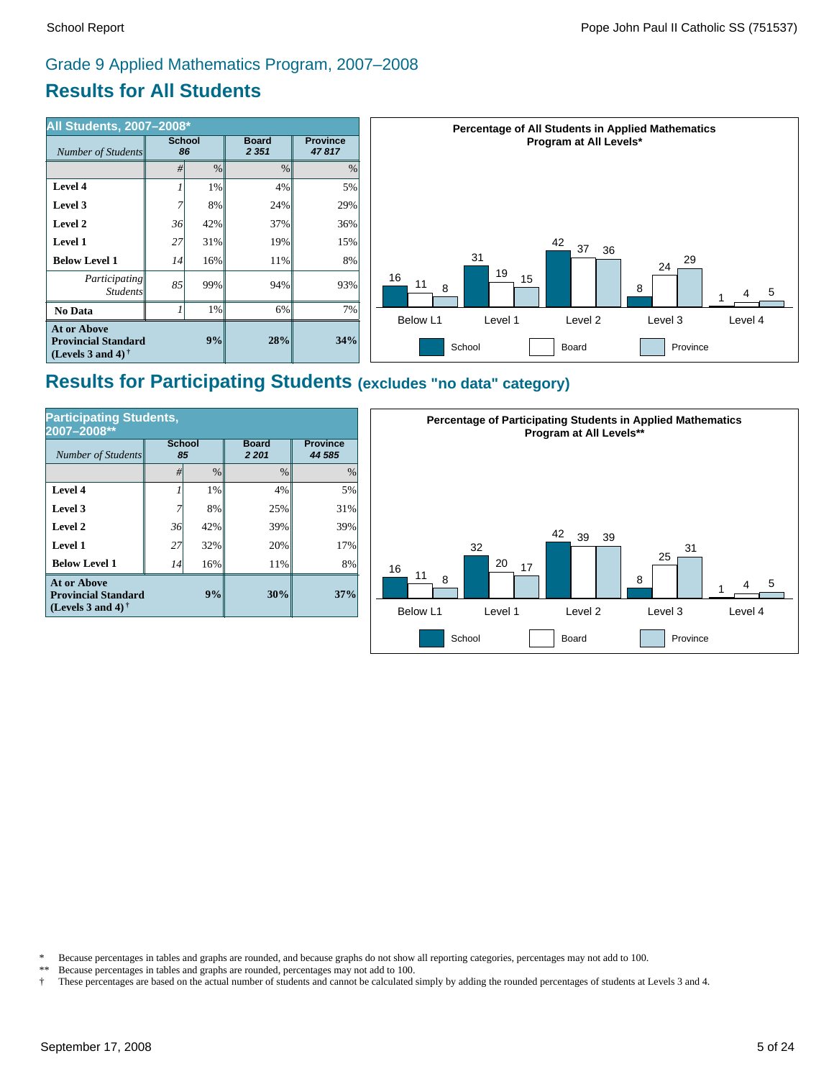# **Results for All Students** Grade 9 Applied Mathematics Program, 2007–2008



## **Results for Participating Students (excludes "no data" category)**

| <b>Participating Students,</b><br>2007-2008**                                        |                     |               |                         |                           |  |  |  |
|--------------------------------------------------------------------------------------|---------------------|---------------|-------------------------|---------------------------|--|--|--|
| Number of Students                                                                   | <b>School</b><br>85 |               | <b>Board</b><br>2 2 0 1 | <b>Province</b><br>44 585 |  |  |  |
|                                                                                      | #                   | $\frac{0}{0}$ | $\frac{0}{0}$           | $\%$                      |  |  |  |
| Level 4                                                                              |                     | 1%            | 4%                      | 5%                        |  |  |  |
| Level 3                                                                              |                     | 8%            | 25%                     | 31%                       |  |  |  |
| Level 2                                                                              | 36                  | 42%           | 39%                     | 39%                       |  |  |  |
| Level 1                                                                              | 27                  | 32%           | 20%                     | 17%                       |  |  |  |
| <b>Below Level 1</b>                                                                 | 14                  | 16%           | 11%                     | 8%                        |  |  |  |
| <b>At or Above</b><br>9%<br><b>Provincial Standard</b><br>(Levels 3 and 4) $\dagger$ |                     |               | 30%                     | 37%                       |  |  |  |



\* Because percentages in tables and graphs are rounded, and because graphs do not show all reporting categories, percentages may not add to 100.

Because percentages in tables and graphs are rounded, percentages may not add to 100.

† These percentages are based on the actual number of students and cannot be calculated simply by adding the rounded percentages of students at Levels 3 and 4.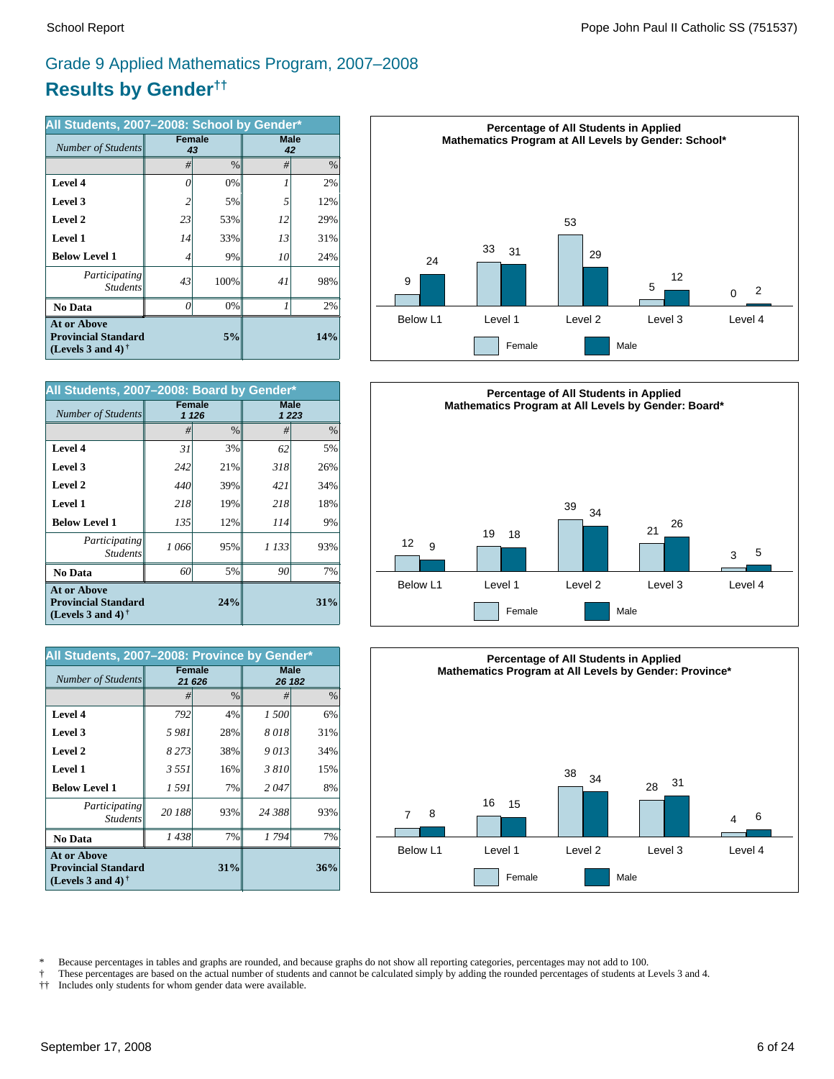# **Results by Gender††** Grade 9 Applied Mathematics Program, 2007–2008

| All Students, 2007-2008: School by Gender*                                                           |    |                     |            |      |  |  |
|------------------------------------------------------------------------------------------------------|----|---------------------|------------|------|--|--|
| Number of Students                                                                                   |    | <b>Female</b><br>43 | Male<br>42 |      |  |  |
|                                                                                                      | #  | $\frac{0}{0}$       | #          | $\%$ |  |  |
| Level 4                                                                                              | 0  | 0%                  |            | 2%   |  |  |
| Level 3                                                                                              | 2  | 5%                  | 5          | 12%  |  |  |
| Level 2                                                                                              | 23 | 53%                 | 12         | 29%  |  |  |
| Level 1                                                                                              | 14 | 33%                 | 13         | 31%  |  |  |
| <b>Below Level 1</b>                                                                                 | 4  | 9%                  | 10         | 24%  |  |  |
| Participating<br><b>Students</b>                                                                     | 43 | 100%                | 41         | 98%  |  |  |
| <b>No Data</b>                                                                                       | 0  | 0%                  | 1          | 2%   |  |  |
| <b>At or Above</b><br><b>Provincial Standard</b><br>(Levels 3 and 4) <sup><math>\dagger</math></sup> |    | 14%                 |            |      |  |  |

| All Students, 2007-2008: Board by Gender*                                                            |               |               |         |         |  |  |
|------------------------------------------------------------------------------------------------------|---------------|---------------|---------|---------|--|--|
| <b>Number of Students</b>                                                                            | <b>Female</b> | 1 1 2 6       | Male    | 1 2 2 3 |  |  |
|                                                                                                      | #             | $\frac{0}{0}$ | #       | $\%$    |  |  |
| Level 4                                                                                              | 31            | 3%            | 62      | 5%      |  |  |
| Level 3                                                                                              | 242           | 21%           | 318     | 26%     |  |  |
| Level 2                                                                                              | 440           | 39%           | 421     | 34%     |  |  |
| <b>Level 1</b>                                                                                       | 218           | 19%           | 218     | 18%     |  |  |
| <b>Below Level 1</b>                                                                                 | 135           | 12%           | 114     | 9%      |  |  |
| Participating<br><b>Students</b>                                                                     | 1 066         | 95%           | 1 1 3 3 | 93%     |  |  |
| No Data                                                                                              | 60            | 5%            | 90      | 7%      |  |  |
| <b>At or Above</b><br><b>Provincial Standard</b><br>(Levels 3 and 4) <sup><math>\dagger</math></sup> |               | 31%           |         |         |  |  |

| All Students, 2007-2008: Province by Gender*                                      |               |               |                       |               |  |  |
|-----------------------------------------------------------------------------------|---------------|---------------|-----------------------|---------------|--|--|
| Number of Students                                                                | <b>Female</b> | 21 626        | <b>Male</b><br>26 182 |               |  |  |
|                                                                                   | #             | $\frac{0}{0}$ | #                     | $\frac{0}{0}$ |  |  |
| Level 4                                                                           | 792           | 4%            | 1 500                 | 6%            |  |  |
| Level 3                                                                           | 5981          | 28%           | 8018                  | 31%           |  |  |
| Level 2                                                                           | 8273          | 38%           | 9013                  | 34%           |  |  |
| <b>Level 1</b>                                                                    | 3 5 5 1       | 16%           | 3810                  | 15%           |  |  |
| <b>Below Level 1</b>                                                              | 1 591         | 7%            | 2047                  | 8%            |  |  |
| Participating<br><b>Students</b>                                                  | 20 188        | 93%           | 24 388                | 93%           |  |  |
| No Data                                                                           | 1438          | 7%            | 1794                  | 7%            |  |  |
| <b>At or Above</b><br><b>Provincial Standard</b><br>(Levels 3 and 4) $^{\dagger}$ |               | 36%           |                       |               |  |  |







\* Because percentages in tables and graphs are rounded, and because graphs do not show all reporting categories, percentages may not add to 100.

† These percentages are based on the actual number of students and cannot be calculated simply by adding the rounded percentages of students at Levels 3 and 4.

†† Includes only students for whom gender data were available.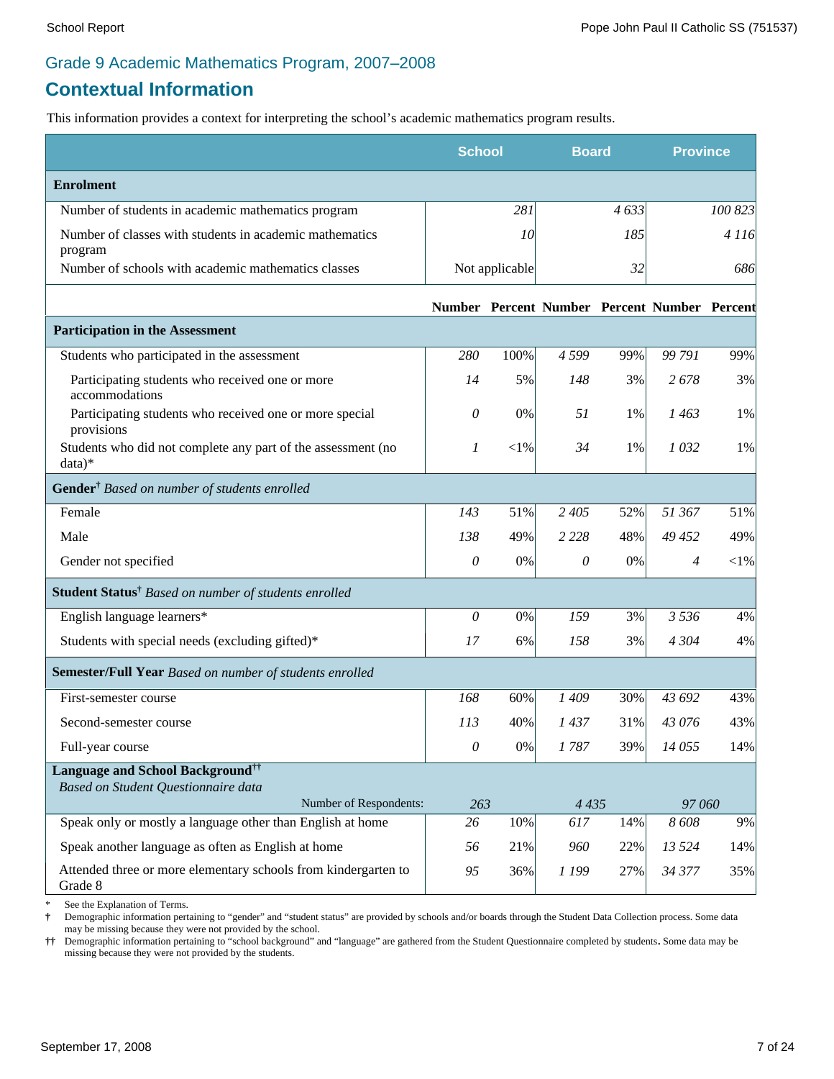### Grade 9 Academic Mathematics Program, 2007–2008

# **Contextual Information**

This information provides a context for interpreting the school's academic mathematics program results.

|                                                                           | <b>School</b> |                | <b>Board</b>                                 |      | <b>Province</b> |            |
|---------------------------------------------------------------------------|---------------|----------------|----------------------------------------------|------|-----------------|------------|
| <b>Enrolment</b>                                                          |               |                |                                              |      |                 |            |
| Number of students in academic mathematics program                        |               | 281            |                                              | 4633 |                 | 100 823    |
| Number of classes with students in academic mathematics<br>program        |               | 10             |                                              | 185  |                 | 4 1 1 6    |
| Number of schools with academic mathematics classes                       |               | Not applicable |                                              | 32   |                 | 686        |
|                                                                           |               |                | Number Percent Number Percent Number Percent |      |                 |            |
| <b>Participation in the Assessment</b>                                    |               |                |                                              |      |                 |            |
| Students who participated in the assessment                               | 280           | 100%           | 4 5 9 9                                      | 99%  | 99 791          | 99%        |
| Participating students who received one or more<br>accommodations         | 14            | 5%             | 148                                          | 3%   | 2678            | 3%         |
| Participating students who received one or more special<br>provisions     | 0             | $0\%$          | 51                                           | 1%   | 1463            | 1%         |
| Students who did not complete any part of the assessment (no<br>$data)*$  | 1             | ${<}1\%$       | 34                                           | 1%   | 1032            | 1%         |
| Gender <sup>†</sup> Based on number of students enrolled                  |               |                |                                              |      |                 |            |
| Female                                                                    | 143           | 51%            | 2 4 0 5                                      | 52%  | 51 367          | 51%        |
| Male                                                                      | 138           | 49%            | 2 2 2 8                                      | 48%  | 49 452          | 49%        |
| Gender not specified                                                      | $\mathcal O$  | $0\%$          | $\theta$                                     | 0%   | 4               | $<\!\!1\%$ |
| Student Status <sup>†</sup> Based on number of students enrolled          |               |                |                                              |      |                 |            |
| English language learners*                                                | 0             | $0\%$          | 159                                          | 3%   | 3 5 3 6         | 4%         |
| Students with special needs (excluding gifted)*                           | 17            | 6%             | 158                                          | 3%   | 4 3 0 4         | 4%         |
| Semester/Full Year Based on number of students enrolled                   |               |                |                                              |      |                 |            |
| First-semester course                                                     | 168           | 60%            | 1409                                         | 30%  | 43 692          | 43%        |
| Second-semester course                                                    | 113           | 40%            | 1437                                         | 31%  | 43 076          | 43%        |
| Full-year course                                                          | $\mathcal O$  | $0\%$          | 1787                                         | 39%  | 14 055          | 14%        |
| <b>Language and School Background</b> <sup>††</sup>                       |               |                |                                              |      |                 |            |
| Based on Student Questionnaire data<br>Number of Respondents:             | 263           |                | 4 4 3 5                                      |      | 97 060          |            |
| Speak only or mostly a language other than English at home                | 26            | 10%            | 617                                          | 14%  | 8608            | 9%         |
| Speak another language as often as English at home                        | 56            | 21%            | 960                                          | 22%  | 13 5 24         | 14%        |
| Attended three or more elementary schools from kindergarten to<br>Grade 8 | 95            | 36%            | 1 199                                        | 27%  | 34 377          | 35%        |

See the Explanation of Terms.

**†** Demographic information pertaining to "gender" and "student status" are provided by schools and/or boards through the Student Data Collection process. Some data may be missing because they were not provided by the school.

**††** Demographic information pertaining to "school background" and "language" are gathered from the Student Questionnaire completed by students**.** Some data may be missing because they were not provided by the students.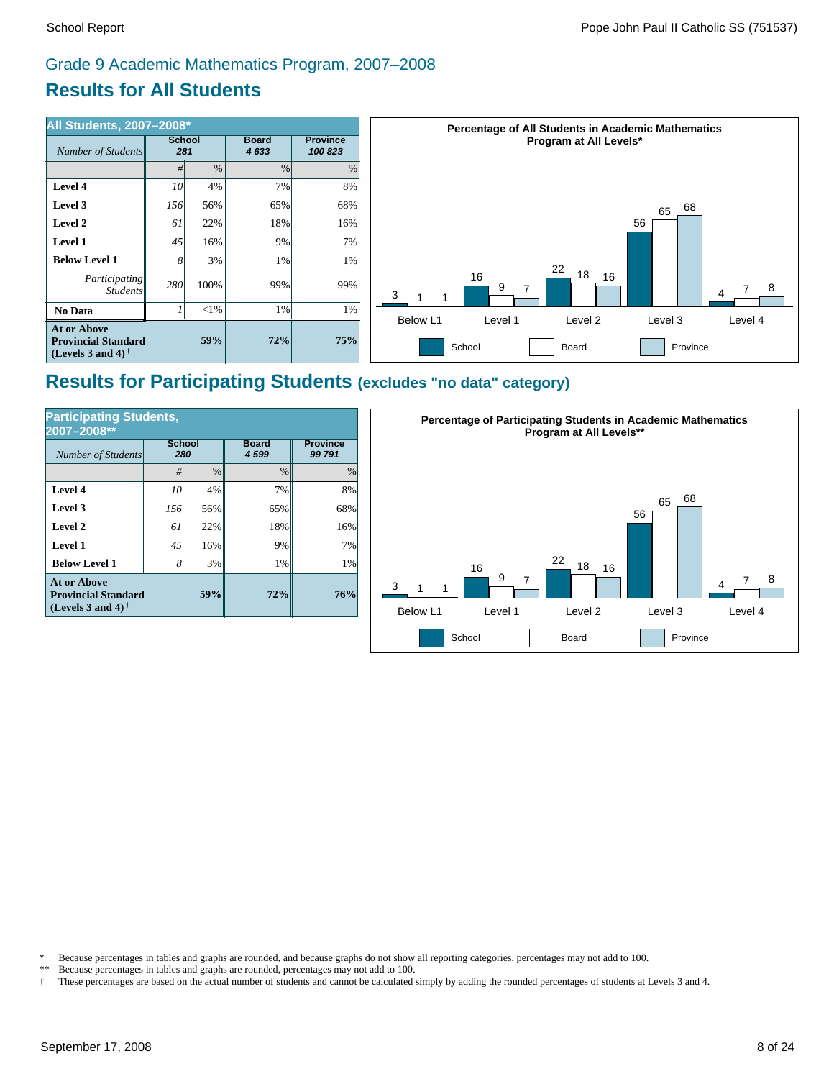# Grade 9 Academic Mathematics Program, 2007–2008

# **Results for All Students**

| <b>All Students, 2007-2008*</b>                                                                      |                      |         |                      |                            | <b>Percentage of All Students in Academic Mathematics</b> |  |  |  |
|------------------------------------------------------------------------------------------------------|----------------------|---------|----------------------|----------------------------|-----------------------------------------------------------|--|--|--|
| Number of Students                                                                                   | <b>School</b><br>281 |         | <b>Board</b><br>4633 | <b>Province</b><br>100 823 | Program at All Levels*                                    |  |  |  |
|                                                                                                      | #                    | $\%$    | $\%$                 | $\%$                       |                                                           |  |  |  |
| Level 4                                                                                              | 10 <sup>l</sup>      | $4\%$   | 7%                   | 8%                         |                                                           |  |  |  |
| Level 3                                                                                              | 156                  | 56%     | 65%                  | 68%                        | 68<br>65                                                  |  |  |  |
| Level 2                                                                                              | 61                   | 22%     | 18%                  | 16%                        | 56                                                        |  |  |  |
| <b>Level 1</b>                                                                                       | 45                   | $16\%$  | 9%                   | 7%1                        |                                                           |  |  |  |
| <b>Below Level 1</b>                                                                                 |                      | 3%      | $1\%$                | 1%                         | 22                                                        |  |  |  |
| Participating<br><i>Students</i>                                                                     | 280                  | $100\%$ | 99%                  | 99%                        | 18<br>16<br>16<br>9<br>8<br>3                             |  |  |  |
| No Data                                                                                              |                      | <1%     | 1%                   | $1\%$                      | Below L1<br>Level 4<br>Level 2<br>Level 3<br>Level 1      |  |  |  |
| <b>At or Above</b><br><b>Provincial Standard</b><br>(Levels 3 and 4) <sup><math>\dagger</math></sup> |                      | 59%     | 72%                  | 75%                        | School<br>Board<br>Province                               |  |  |  |

## **Results for Participating Students (excludes "no data" category)**

| <b>Participating Students,</b><br>2007-2008**                                         |                      |               |                      |                          |  |  |  |
|---------------------------------------------------------------------------------------|----------------------|---------------|----------------------|--------------------------|--|--|--|
| <b>Number of Students</b>                                                             | <b>School</b><br>280 |               | <b>Board</b><br>4599 | <b>Province</b><br>99791 |  |  |  |
|                                                                                       | #                    | $\frac{0}{0}$ | $\frac{0}{0}$        | $\frac{0}{0}$            |  |  |  |
| Level 4                                                                               | 10                   | 4%            | 7%                   | 8%                       |  |  |  |
| Level 3                                                                               | 156                  | 56%           | 65%                  | 68%                      |  |  |  |
| Level 2                                                                               | 61                   | 22%           | 18%                  | 16%                      |  |  |  |
| Level 1                                                                               | 45                   | 16%           | 9%                   | 7%                       |  |  |  |
| <b>Below Level 1</b>                                                                  | 8                    | 3%            | 1%                   | 1%                       |  |  |  |
| <b>At or Above</b><br>59%<br><b>Provincial Standard</b><br>(Levels 3 and 4) $\dagger$ |                      |               | 72%                  | 76%                      |  |  |  |



\* Because percentages in tables and graphs are rounded, and because graphs do not show all reporting categories, percentages may not add to 100.<br>\*\* Because percentages in tables and graphs are rounded, percentages may not

Because percentages in tables and graphs are rounded, percentages may not add to 100.

† These percentages are based on the actual number of students and cannot be calculated simply by adding the rounded percentages of students at Levels 3 and 4.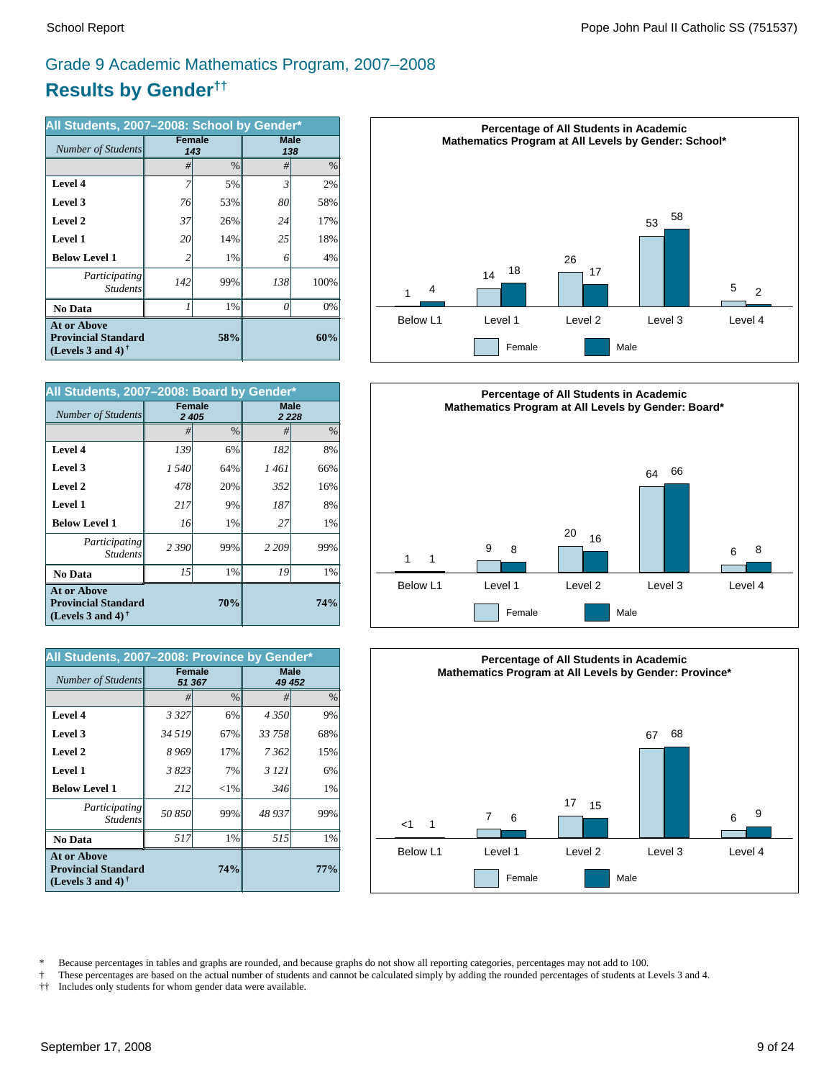# **Results by Gender††** Grade 9 Academic Mathematics Program, 2007–2008

| All Students, 2007-2008: School by Gender*                                                           |               |               |             |      |  |  |
|------------------------------------------------------------------------------------------------------|---------------|---------------|-------------|------|--|--|
| Number of Students                                                                                   | <b>Female</b> | 143           | <b>Male</b> | 138  |  |  |
|                                                                                                      | #             | $\frac{0}{0}$ | #           | $\%$ |  |  |
| Level 4                                                                                              | 7             | 5%            | 3           | 2%   |  |  |
| Level 3                                                                                              | 76            | 53%           | 80          | 58%  |  |  |
| Level 2                                                                                              | 37            | 26%           | 24          | 17%  |  |  |
| <b>Level 1</b>                                                                                       | 20            | 14%           | 25          | 18%  |  |  |
| <b>Below Level 1</b>                                                                                 | 2             | 1%            | 6           | 4%   |  |  |
| Participating<br><b>Students</b>                                                                     | 142           | 99%           | 138         | 100% |  |  |
| <b>No Data</b>                                                                                       |               | 1%            | O           | 0%   |  |  |
| <b>At or Above</b><br><b>Provincial Standard</b><br>(Levels 3 and 4) <sup><math>\dagger</math></sup> |               | 58%           |             | 60%  |  |  |

| All Students, 2007-2008: Board by Gender*                                      |                          |      |                        |     |  |  |
|--------------------------------------------------------------------------------|--------------------------|------|------------------------|-----|--|--|
| <b>Number of Students</b>                                                      | <b>Female</b><br>2 4 0 5 |      | <b>Male</b><br>2 2 2 8 |     |  |  |
|                                                                                | #                        | $\%$ | #                      | %   |  |  |
| Level 4                                                                        | 139                      | 6%   | 182                    | 8%  |  |  |
| Level 3                                                                        | 1540                     | 64%  | 1 461                  | 66% |  |  |
| Level 2                                                                        | 478                      | 20%  | 352                    | 16% |  |  |
| Level 1                                                                        | 217                      | 9%   | 187                    | 8%  |  |  |
| <b>Below Level 1</b>                                                           | 16                       | 1%   | 27                     | 1%  |  |  |
| Participating<br><b>Students</b>                                               | 2 3 9 0                  | 99%  | 2 2 0 9                | 99% |  |  |
| <b>No Data</b>                                                                 | 15                       | 1%   | 19                     | 1%  |  |  |
| <b>At or Above</b><br><b>Provincial Standard</b><br>(Levels 3 and 4) $\dagger$ |                          | 74%  |                        |     |  |  |

| All Students, 2007-2008: Province by Gender*                                      |                         |               |             |        |  |  |  |
|-----------------------------------------------------------------------------------|-------------------------|---------------|-------------|--------|--|--|--|
| Number of Students                                                                | <b>Female</b><br>51 367 |               | <b>Male</b> | 49 452 |  |  |  |
|                                                                                   | #                       | $\frac{0}{0}$ | #           | $\%$   |  |  |  |
| Level 4                                                                           | 3 3 2 7                 | 6%            | 4 3 5 0     | 9%     |  |  |  |
| Level 3                                                                           | 34 5 19                 | 67%           | 33 758      | 68%    |  |  |  |
| Level 2                                                                           | 8969                    | 17%           | 7362        | 15%    |  |  |  |
| Level 1                                                                           | 3823                    | 7%            | 3 1 2 1     | 6%     |  |  |  |
| <b>Below Level 1</b>                                                              | 212                     | $<$ 1%        | 346         | $1\%$  |  |  |  |
| Participating<br><b>Students</b>                                                  | 50 850                  | 99%           | 48 937      | 99%    |  |  |  |
| <b>No Data</b>                                                                    | 517                     | 1%            | 515         | $1\%$  |  |  |  |
| <b>At or Above</b><br><b>Provincial Standard</b><br>(Levels 3 and 4) $^{\dagger}$ |                         | 77%           |             |        |  |  |  |







<sup>\*</sup> Because percentages in tables and graphs are rounded, and because graphs do not show all reporting categories, percentages may not add to 100.

† These percentages are based on the actual number of students and cannot be calculated simply by adding the rounded percentages of students at Levels 3 and 4.<br>†† Includes only students for whom gender data were available.

Includes only students for whom gender data were available.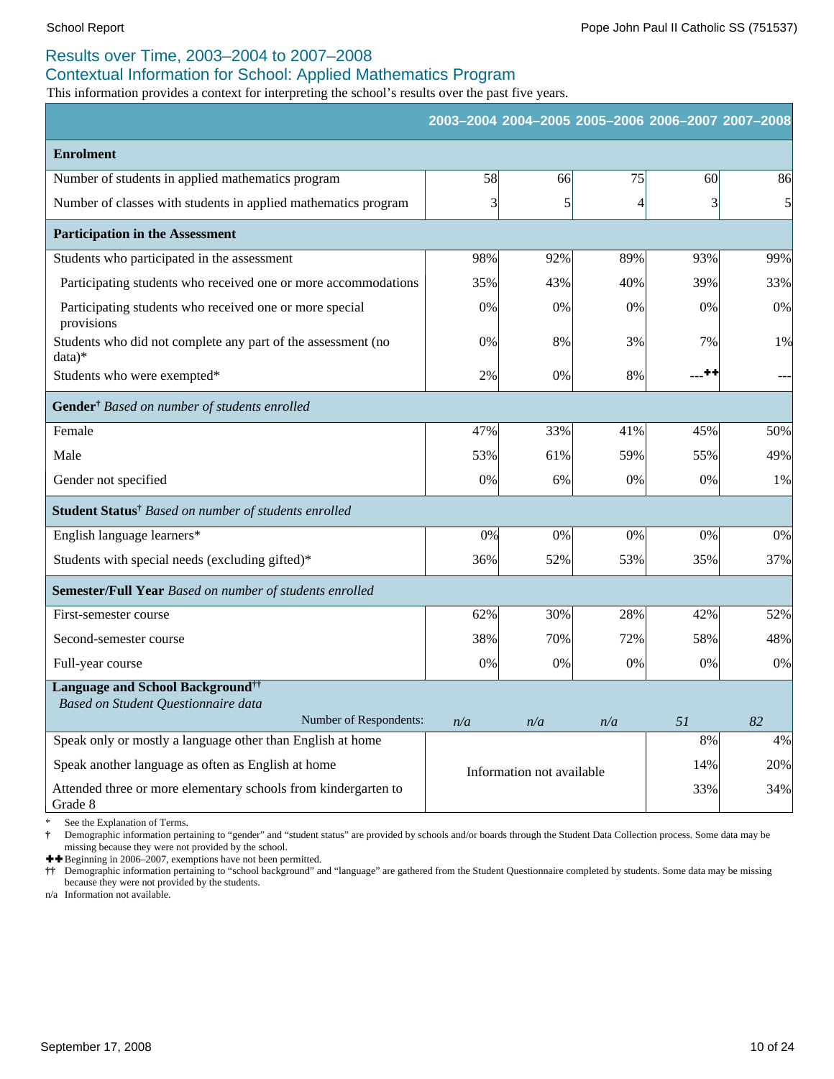### Results over Time, 2003–2004 to 2007–2008

### Contextual Information for School: Applied Mathematics Program

This information provides a context for interpreting the school's results over the past five years.

|                                                                           |     |                           |                | 2003-2004 2004-2005 2005-2006 2006-2007 2007-2008 |     |
|---------------------------------------------------------------------------|-----|---------------------------|----------------|---------------------------------------------------|-----|
| <b>Enrolment</b>                                                          |     |                           |                |                                                   |     |
| Number of students in applied mathematics program                         | 58  | 66                        | 75             | 60                                                | 86  |
| Number of classes with students in applied mathematics program            | 3   | $\vert 5 \vert$           | $\overline{4}$ | $\overline{\mathbf{3}}$                           | 5   |
| <b>Participation in the Assessment</b>                                    |     |                           |                |                                                   |     |
| Students who participated in the assessment                               | 98% | 92%                       | 89%            | 93%                                               | 99% |
| Participating students who received one or more accommodations            | 35% | 43%                       | 40%            | 39%                                               | 33% |
| Participating students who received one or more special<br>provisions     | 0%  | 0%                        | $0\%$          | 0%                                                | 0%  |
| Students who did not complete any part of the assessment (no<br>$data)*$  | 0%  | 8%                        | 3%             | 7%                                                | 1%  |
| Students who were exempted*                                               | 2%  | 0%                        | 8%             | ---++                                             |     |
| Gender <sup>†</sup> Based on number of students enrolled                  |     |                           |                |                                                   |     |
| Female                                                                    | 47% | 33%                       | 41%            | 45%                                               | 50% |
| Male                                                                      | 53% | 61%                       | 59%            | 55%                                               | 49% |
| Gender not specified                                                      | 0%  | 6%                        | 0%             | 0%                                                | 1%  |
| Student Status <sup>†</sup> Based on number of students enrolled          |     |                           |                |                                                   |     |
| English language learners*                                                | 0%  | 0%                        | 0%             | 0%                                                | 0%  |
| Students with special needs (excluding gifted)*                           | 36% | 52%                       | 53%            | 35%                                               | 37% |
| Semester/Full Year Based on number of students enrolled                   |     |                           |                |                                                   |     |
| First-semester course                                                     | 62% | 30%                       | 28%            | 42%                                               | 52% |
| Second-semester course                                                    | 38% | 70%                       | 72%            | 58%                                               | 48% |
| Full-year course                                                          | 0%  | 0%                        | 0%             | 0%                                                | 0%  |
| <b>Language and School Background</b> <sup>††</sup>                       |     |                           |                |                                                   |     |
| Based on Student Questionnaire data<br>Number of Respondents:             | n/a | n/a                       | n/a            | 51                                                | 82  |
| Speak only or mostly a language other than English at home                |     |                           |                | 8%                                                | 4%  |
| Speak another language as often as English at home                        |     | Information not available |                | 14%                                               | 20% |
| Attended three or more elementary schools from kindergarten to<br>Grade 8 |     |                           |                | 33%                                               | 34% |

See the Explanation of Terms.

**†** Demographic information pertaining to "gender" and "student status" are provided by schools and/or boards through the Student Data Collection process. Some data may be missing because they were not provided by the school.

 $\biguparrow$  Beginning in 2006–2007, exemptions have not been permitted.

**††** Demographic information pertaining to "school background" and "language" are gathered from the Student Questionnaire completed by students. Some data may be missing because they were not provided by the students.

n/a Information not available.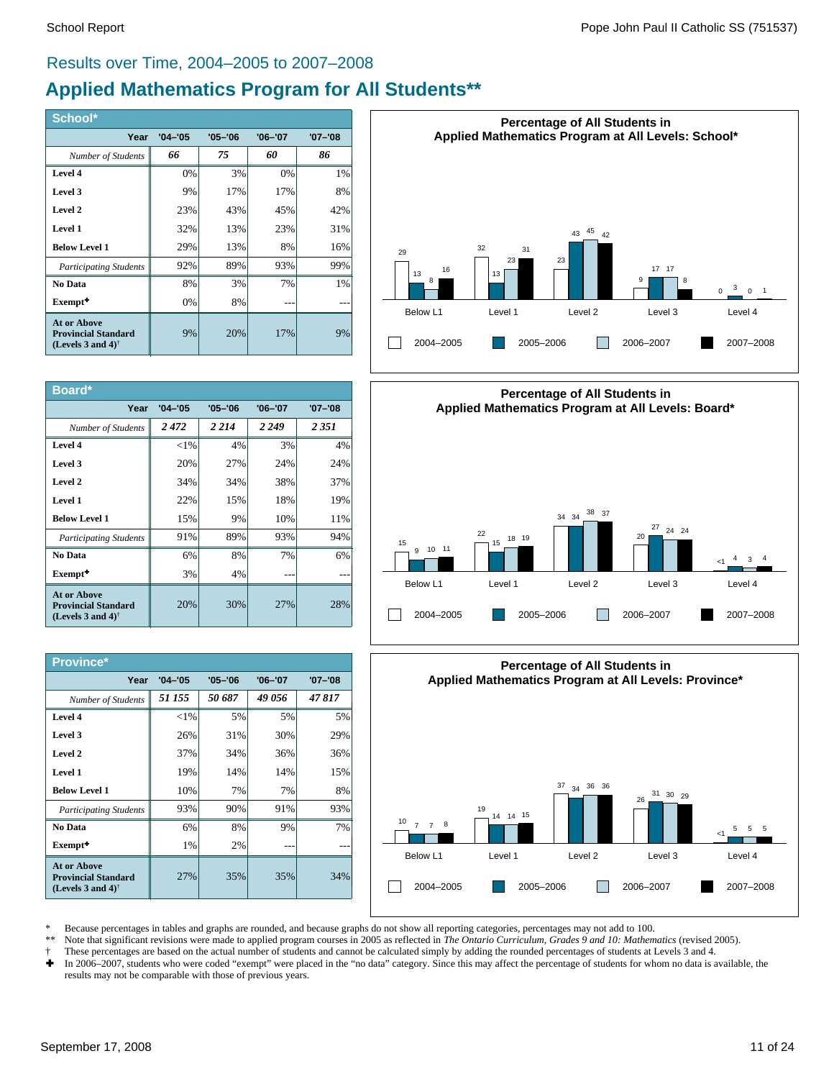#### Results over Time, 2004–2005 to 2007–2008

# **Applied Mathematics Program for All Students\*\***

| School*                                                                                              |             |             |             |             |
|------------------------------------------------------------------------------------------------------|-------------|-------------|-------------|-------------|
| Year                                                                                                 | $'04 - '05$ | $'05 - '06$ | $'06 - '07$ | $'07 - '08$ |
| Number of Students                                                                                   | 66          | 75          | 60          | 86          |
| Level 4                                                                                              | 0%          | 3%          | 0%          | 1%          |
| Level 3                                                                                              | 9%          | 17%         | 17%         | 8%          |
| Level 2                                                                                              | 23%         | 43%         | 45%         | 42%         |
| Level 1                                                                                              | 32%         | 13%         | 23%         | 31%         |
| <b>Below Level 1</b>                                                                                 | 29%         | 13%         | 8%          | 16%         |
| <b>Participating Students</b>                                                                        | 92%         | 89%         | 93%         | 99%         |
| No Data                                                                                              | 8%          | 3%          | 7%          | 1%          |
| Exempt <sup>+</sup>                                                                                  | 0%          | 8%          |             |             |
| <b>At or Above</b><br><b>Provincial Standard</b><br>(Levels 3 and 4) <sup><math>\dagger</math></sup> | 9%          | 20%         | 17%         | 9%          |

| Board*                                                                                               |             |             |             |             |
|------------------------------------------------------------------------------------------------------|-------------|-------------|-------------|-------------|
| Year                                                                                                 | $'04 - '05$ | $'05 - '06$ | $'06 - '07$ | $'07 - '08$ |
| Number of Students                                                                                   | 2472        | 2 2 1 4     | 2 2 4 9     | 2 3 5 1     |
| Level 4                                                                                              | ${<}1\%$    | 4%          | 3%          | 4%          |
| Level 3                                                                                              | 20%         | 27%         | 24%         | 24%         |
| Level 2                                                                                              | 34%         | 34%         | 38%         | 37%         |
| Level 1                                                                                              | 22%         | 15%         | 18%         | 19%         |
| <b>Below Level 1</b>                                                                                 | 15%         | 9%          | 10%         | 11%         |
| <b>Participating Students</b>                                                                        | 91%         | 89%         | 93%         | 94%         |
| No Data                                                                                              | 6%          | 8%          | 7%          | 6%          |
| Exempt <sup>+</sup>                                                                                  | 3%          | 4%          |             |             |
| <b>At or Above</b><br><b>Provincial Standard</b><br>(Levels 3 and 4) <sup><math>\dagger</math></sup> | 20%         | 30%         | 27%         | 28%         |

| <b>Province*</b>                                                                                     |             |             |             |             |
|------------------------------------------------------------------------------------------------------|-------------|-------------|-------------|-------------|
| Year                                                                                                 | $'04 - '05$ | $'05 - '06$ | $'06 - '07$ | $'07 - '08$ |
| Number of Students                                                                                   | 51 155      | 50 687      | 49 056      | 47817       |
| Level 4                                                                                              | ${<}1\%$    | 5%          | 5%          | 5%          |
| Level 3                                                                                              | 26%         | 31%         | 30%         | 29%         |
| Level 2                                                                                              | 37%         | 34%         | 36%         | 36%         |
| Level 1                                                                                              | 19%         | 14%         | 14%         | 15%         |
| <b>Below Level 1</b>                                                                                 | 10%         | 7%          | 7%          | 8%          |
| <b>Participating Students</b>                                                                        | 93%         | 90%         | 91%         | 93%         |
| No Data                                                                                              | 6%          | 8%          | 9%          | 7%          |
| Exempt <sup>+</sup>                                                                                  | 1%          | 2%          | ---         |             |
| <b>At or Above</b><br><b>Provincial Standard</b><br>(Levels 3 and 4) <sup><math>\dagger</math></sup> | 27%         | 35%         | 35%         | 34%         |







\* Because percentages in tables and graphs are rounded, and because graphs do not show all reporting categories, percentages may not add to 100.

Note that significant revisions were made to applied program courses in 2005 as reflected in *The Ontario Curriculum, Grades 9 and 10: Mathematics* (revised 2005).

- † These percentages are based on the actual number of students and cannot be calculated simply by adding the rounded percentages of students at Levels 3 and 4.<br>► In 2006–2007, students who were coded "exempt" were placed
- In 2006-2007, students who were coded "exempt" were placed in the "no data" category. Since this may affect the percentage of students for whom no data is available, the results may not be comparable with those of previous years.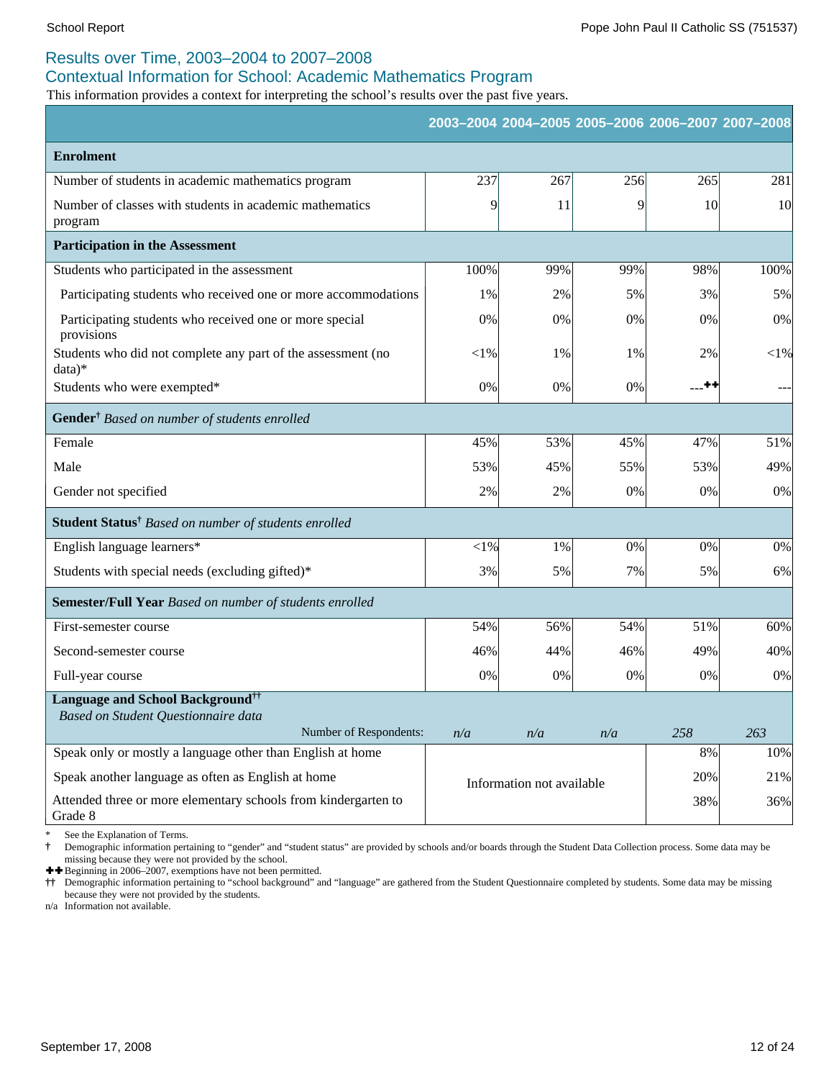### Results over Time, 2003–2004 to 2007–2008

#### Contextual Information for School: Academic Mathematics Program

This information provides a context for interpreting the school's results over the past five years.

|                                                                           |          |                           | 2003-2004 2004-2005 2005-2006 2006-2007 2007-2008 |           |                 |
|---------------------------------------------------------------------------|----------|---------------------------|---------------------------------------------------|-----------|-----------------|
| <b>Enrolment</b>                                                          |          |                           |                                                   |           |                 |
| Number of students in academic mathematics program                        | 237      | 267                       | 256                                               | 265       | 281             |
| Number of classes with students in academic mathematics<br>program        | 9        | 11                        | 9                                                 | <b>10</b> | 10 <sup>l</sup> |
| <b>Participation in the Assessment</b>                                    |          |                           |                                                   |           |                 |
| Students who participated in the assessment                               | 100%     | 99%                       | 99%                                               | 98%       | 100%            |
| Participating students who received one or more accommodations            | 1%       | 2%                        | 5%                                                | 3%        | 5%              |
| Participating students who received one or more special<br>provisions     | 0%       | 0%                        | 0%                                                | 0%        | 0%              |
| Students who did not complete any part of the assessment (no<br>$data)*$  | ${<}1\%$ | 1%                        | 1%                                                | 2%        | ${<}1\%$        |
| Students who were exempted*                                               | 0%       | 0%                        | $0\%$                                             | --**      | $--$            |
| Gender <sup>†</sup> Based on number of students enrolled                  |          |                           |                                                   |           |                 |
| Female                                                                    | 45%      | 53%                       | 45%                                               | 47%       | 51%             |
| Male                                                                      | 53%      | 45%                       | 55%                                               | 53%       | 49%             |
| Gender not specified                                                      | 2%       | 2%                        | 0%                                                | $0\%$     | 0%              |
| Student Status <sup>†</sup> Based on number of students enrolled          |          |                           |                                                   |           |                 |
| English language learners*                                                | $<$ 1%   | 1%                        | 0%                                                | 0%        | 0%              |
| Students with special needs (excluding gifted)*                           | 3%       | 5%                        | 7%                                                | 5%        | 6%              |
| Semester/Full Year Based on number of students enrolled                   |          |                           |                                                   |           |                 |
| First-semester course                                                     | 54%      | 56%                       | 54%                                               | 51%       | 60%             |
| Second-semester course                                                    | 46%      | 44%                       | 46%                                               | 49%       | 40%             |
| Full-year course                                                          | 0%       | 0%                        | 0%                                                | 0%        | 0%              |
| Language and School Background <sup>††</sup>                              |          |                           |                                                   |           |                 |
| Based on Student Questionnaire data<br>Number of Respondents:             | n/a      | n/a                       | n/a                                               | 258       | 263             |
| Speak only or mostly a language other than English at home                |          |                           |                                                   | 8%        | 10%             |
| Speak another language as often as English at home                        |          | Information not available |                                                   | 20%       | 21%             |
| Attended three or more elementary schools from kindergarten to<br>Grade 8 |          |                           |                                                   | 38%       | 36%             |

See the Explanation of Terms.

**†** Demographic information pertaining to "gender" and "student status" are provided by schools and/or boards through the Student Data Collection process. Some data may be missing because they were not provided by the school.

 $\blacktriangle$  Beginning in 2006–2007, exemptions have not been permitted.

**††** Demographic information pertaining to "school background" and "language" are gathered from the Student Questionnaire completed by students. Some data may be missing because they were not provided by the students.

n/a Information not available.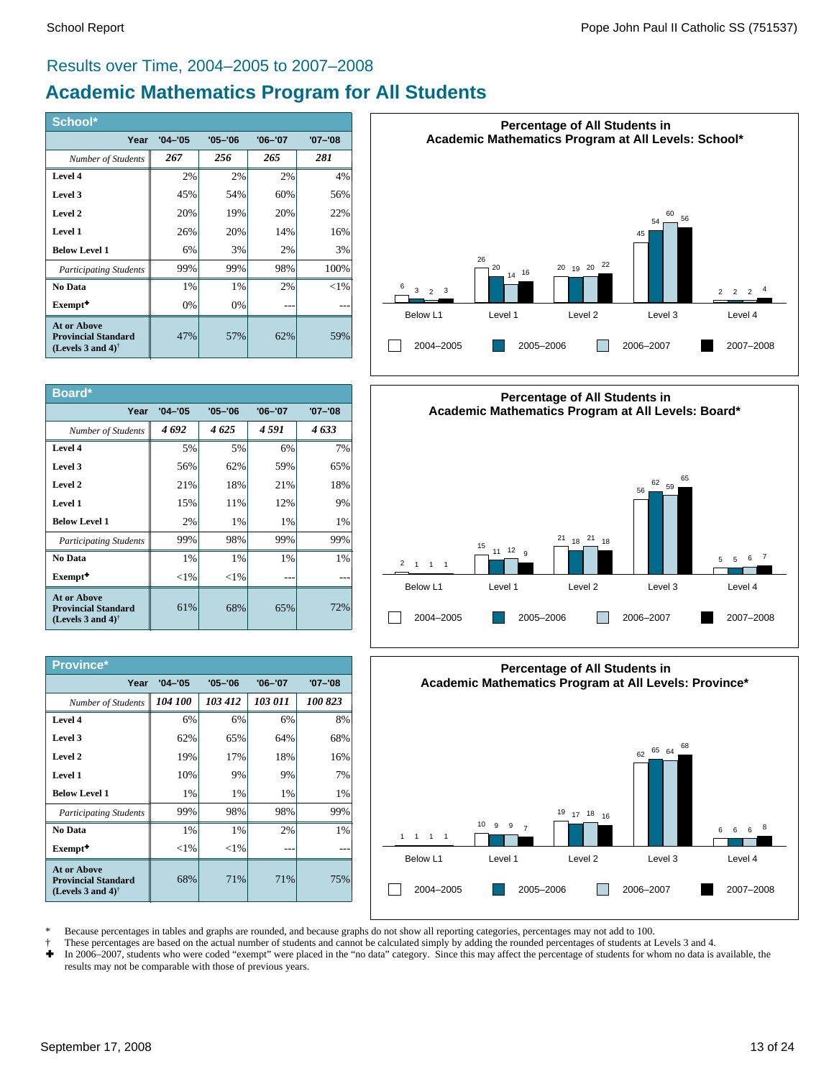### Results over Time, 2004–2005 to 2007–2008

# **Academic Mathematics Program for All Students**

| School*                                                                                       |             |             |             |             |
|-----------------------------------------------------------------------------------------------|-------------|-------------|-------------|-------------|
| Year                                                                                          | $'04 - '05$ | $'05 - '06$ | $'06 - '07$ | $'07 - '08$ |
| Number of Students                                                                            | 267         | 256         | 265         | 281         |
| Level 4                                                                                       | 2%          | 2%          | 2%          | 4%          |
| Level 3                                                                                       | 45%         | 54%         | 60%         | 56%         |
| Level 2                                                                                       | 20%         | 19%         | 20%         | 22%         |
| Level 1                                                                                       | 26%         | 20%         | 14%         | 16%         |
| <b>Below Level 1</b>                                                                          | 6%          | 3%          | 2%          | 3%          |
| <b>Participating Students</b>                                                                 | 99%         | 99%         | 98%         | 100%        |
| No Data                                                                                       | 1%          | 1%          | 2%          | $<$ 1%      |
| Exempt <sup>+</sup>                                                                           | 0%          | 0%          |             |             |
| At or Above<br><b>Provincial Standard</b><br>(Levels 3 and 4) <sup><math>\dagger</math></sup> | 47%         | 57%         | 62%         | 59%         |

| Board*                                                                                               |             |             |             |             |
|------------------------------------------------------------------------------------------------------|-------------|-------------|-------------|-------------|
| Year                                                                                                 | $'04 - '05$ | $'05 - '06$ | $'06 - '07$ | $'07 - '08$ |
| Number of Students                                                                                   | 4692        | 4625        | 4 591       | 4 633       |
| Level 4                                                                                              | 5%          | 5%          | 6%          | 7%          |
| Level 3                                                                                              | 56%         | 62%         | 59%         | 65%         |
| Level 2                                                                                              | 21%         | 18%         | 21%         | 18%         |
| Level 1                                                                                              | 15%         | 11%         | 12%         | 9%          |
| <b>Below Level 1</b>                                                                                 | 2%          | 1%          | 1%          | 1%          |
| <b>Participating Students</b>                                                                        | 99%         | 98%         | 99%         | 99%         |
| No Data                                                                                              | 1%          | 1%          | 1%          | 1%          |
| Exempt <sup>+</sup>                                                                                  | ${<}1\%$    | ${<}1\%$    |             |             |
| <b>At or Above</b><br><b>Provincial Standard</b><br>(Levels 3 and 4) <sup><math>\dagger</math></sup> | 61%         | 68%         | 65%         | 72%         |

| Province*                                                                                            |             |             |             |             |
|------------------------------------------------------------------------------------------------------|-------------|-------------|-------------|-------------|
| Year                                                                                                 | $'04 - '05$ | $'05 - '06$ | $'06 - '07$ | $'07 - '08$ |
| Number of Students                                                                                   | 104 100     | 103 412     | 103 011     | 100 823     |
| Level 4                                                                                              | 6%          | 6%          | 6%          | 8%          |
| Level 3                                                                                              | 62%         | 65%         | 64%         | 68%         |
| Level 2                                                                                              | 19%         | 17%         | 18%         | 16%         |
| Level 1                                                                                              | 10%         | 9%          | 9%          | 7%          |
| <b>Below Level 1</b>                                                                                 | 1%          | 1%          | 1%          | $1\%$       |
| <b>Participating Students</b>                                                                        | 99%         | 98%         | 98%         | 99%         |
| No Data                                                                                              | 1%          | 1%          | 2%          | $1\%$       |
| Exempt <sup>+</sup>                                                                                  | ${<}1\%$    | ${<}1\%$    |             |             |
| <b>At or Above</b><br><b>Provincial Standard</b><br>(Levels 3 and 4) <sup><math>\dagger</math></sup> | 68%         | 71%         | 71%         | 75%         |







\* Because percentages in tables and graphs are rounded, and because graphs do not show all reporting categories, percentages may not add to 100.

- † These percentages are based on the actual number of students and cannot be calculated simply by adding the rounded percentages of students at Levels 3 and 4.
- Ì In 2006–2007, students who were coded "exempt" were placed in the "no data" category. Since this may affect the percentage of students for whom no data is available, the results may not be comparable with those of previous years.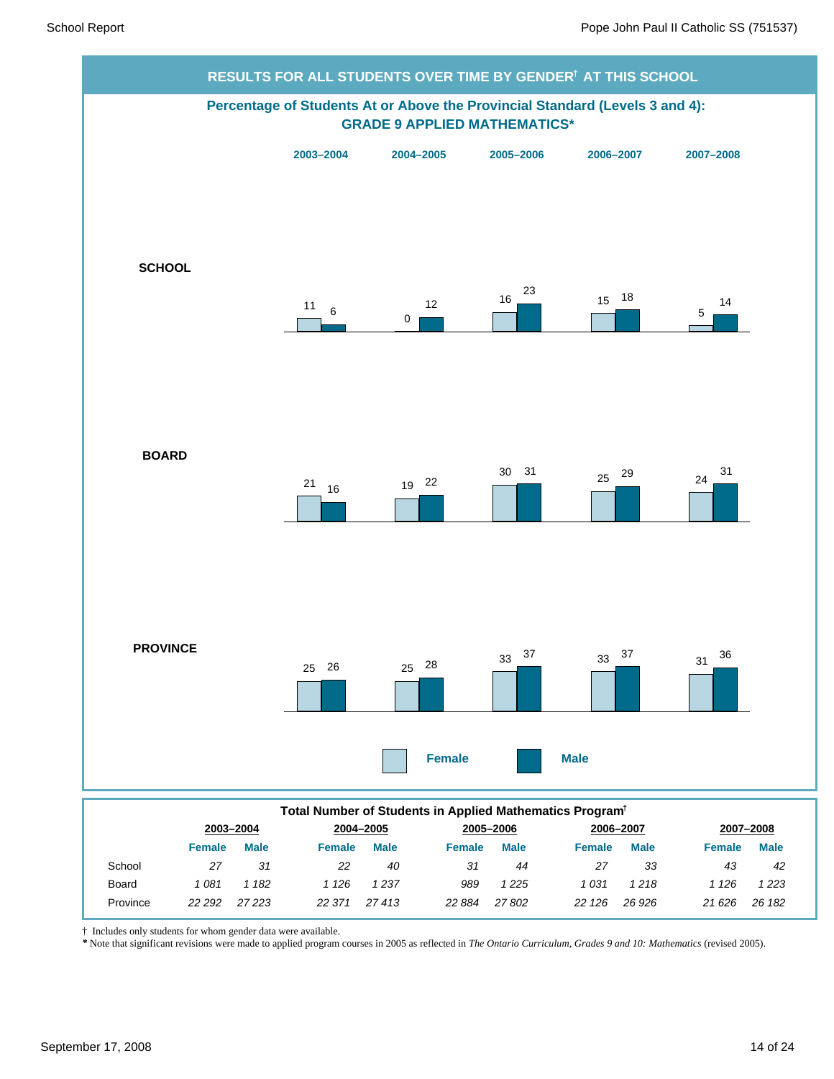

† Includes only students for whom gender data were available.

*\** Note that significant revisions were made to applied program courses in 2005 as reflected in *The Ontario Curriculum, Grades 9 and 10: Mathematics* (revised 2005).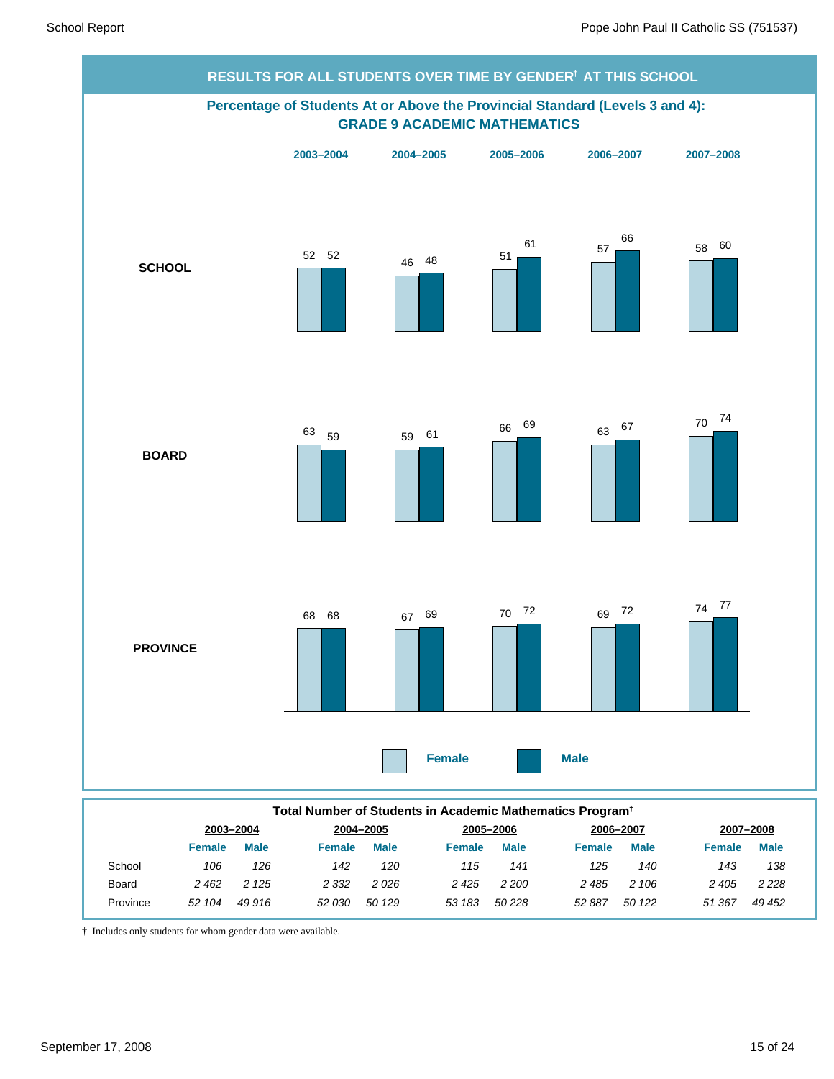

|          | 2003-2004 |             |         | 2004-2005   |        | 2005-2006   | 2006-2007 |             | 2007-2008     |             |
|----------|-----------|-------------|---------|-------------|--------|-------------|-----------|-------------|---------------|-------------|
|          | Female    | <b>Male</b> | Female  | <b>Male</b> | Female | <b>Male</b> | Female    | <b>Male</b> | <b>Female</b> | <b>Male</b> |
| School   | 106       | 126         | 142     | 120         | 115    | 141         | 125       | 140         | 143           | 138         |
| Board    | 2462      | 2 1 2 5     | 2 3 3 2 | 2026        | 2425   | 2 200       | 2485      | 2 106       | 2 405         | 2 2 2 8     |
| Province | 52 104    | 49 916      | 52 030  | 50 129      | 53 183 | 50 228      | 52 887    | 50 122      | 51 367        | 49 452      |

† Includes only students for whom gender data were available.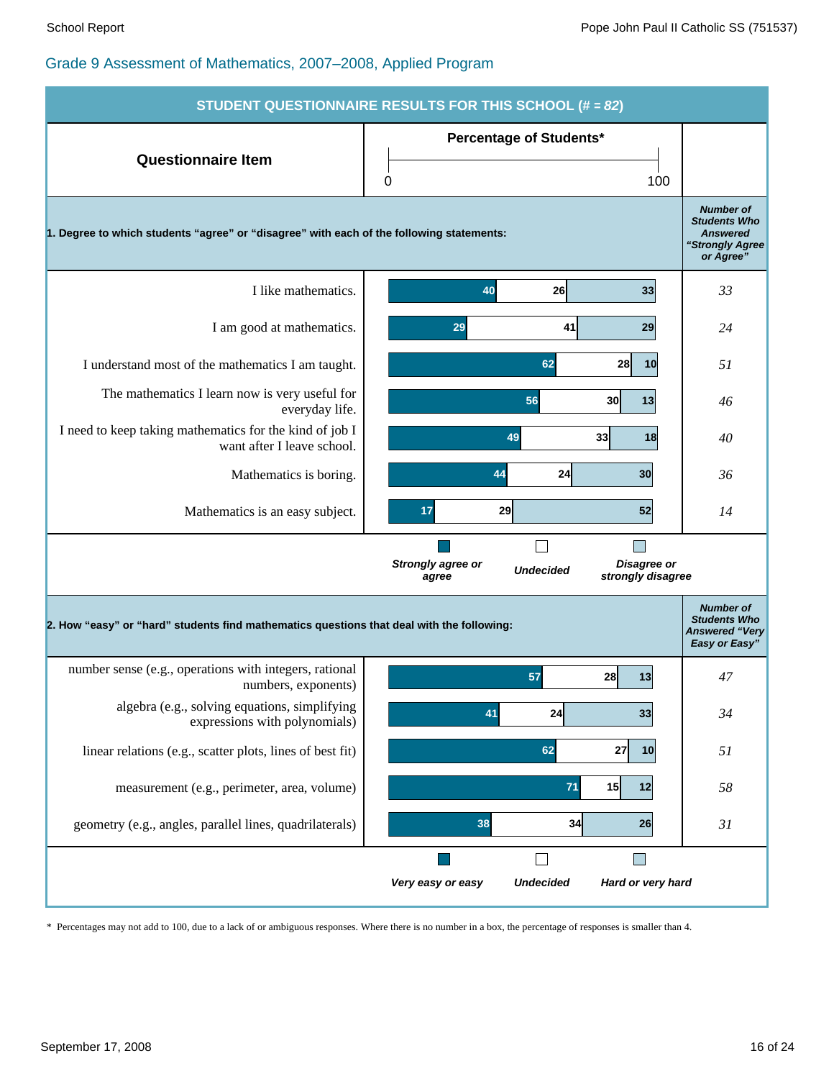

\* Percentages may not add to 100, due to a lack of or ambiguous responses. Where there is no number in a box, the percentage of responses is smaller than 4.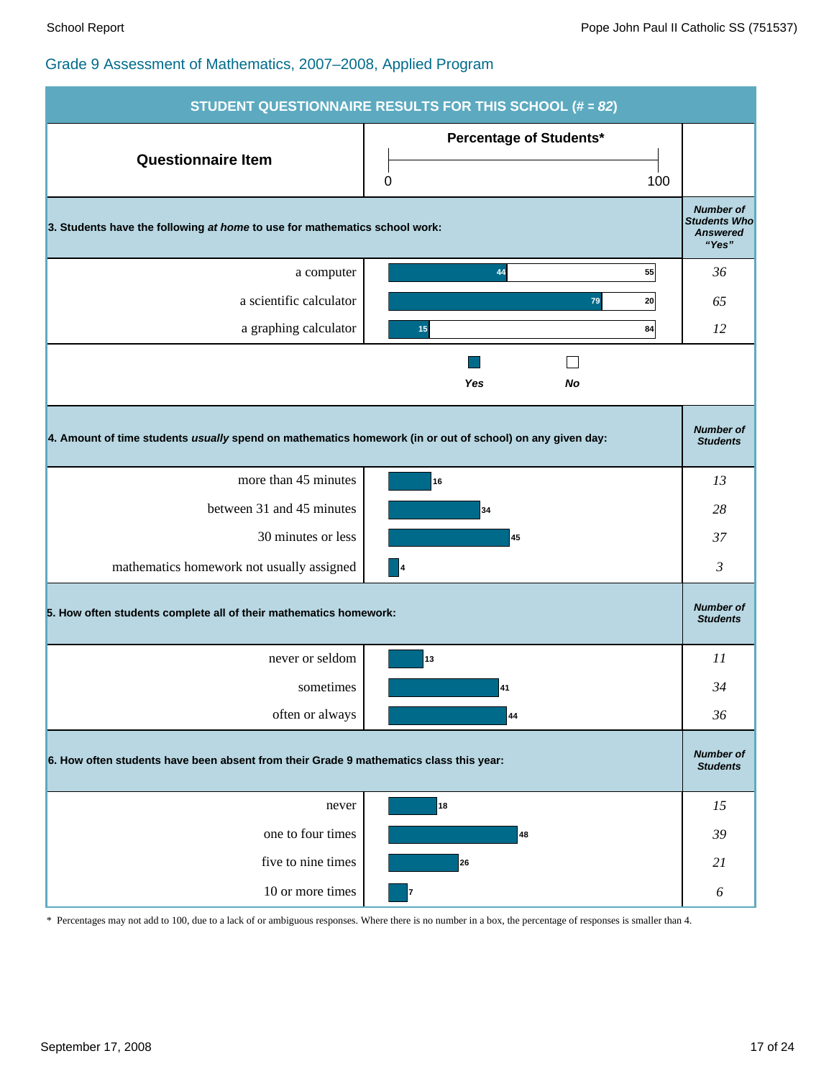|                                                                                                          | STUDENT QUESTIONNAIRE RESULTS FOR THIS SCHOOL (# = 82)                                 |                                                                     |  |  |  |  |
|----------------------------------------------------------------------------------------------------------|----------------------------------------------------------------------------------------|---------------------------------------------------------------------|--|--|--|--|
| <b>Questionnaire Item</b>                                                                                | Percentage of Students*                                                                |                                                                     |  |  |  |  |
|                                                                                                          | 100<br>0                                                                               |                                                                     |  |  |  |  |
| 3. Students have the following at home to use for mathematics school work:                               |                                                                                        | <b>Number of</b><br><b>Students Who</b><br><b>Answered</b><br>"Yes" |  |  |  |  |
| a computer                                                                                               | 55<br>44                                                                               | 36                                                                  |  |  |  |  |
| a scientific calculator                                                                                  | 79<br>20                                                                               | 65                                                                  |  |  |  |  |
| a graphing calculator                                                                                    | 84<br>15                                                                               | 12                                                                  |  |  |  |  |
|                                                                                                          | Yes<br>No                                                                              |                                                                     |  |  |  |  |
| 4. Amount of time students usually spend on mathematics homework (in or out of school) on any given day: |                                                                                        | <b>Number of</b><br><b>Students</b>                                 |  |  |  |  |
| more than 45 minutes                                                                                     | 16                                                                                     | 13                                                                  |  |  |  |  |
| between 31 and 45 minutes                                                                                | 34                                                                                     | 28                                                                  |  |  |  |  |
| 30 minutes or less                                                                                       | 45                                                                                     | 37                                                                  |  |  |  |  |
| mathematics homework not usually assigned                                                                | $\vert 4$                                                                              | 3                                                                   |  |  |  |  |
| 5. How often students complete all of their mathematics homework:                                        |                                                                                        | <b>Number of</b><br><b>Students</b>                                 |  |  |  |  |
| never or seldom                                                                                          | 13                                                                                     | 11                                                                  |  |  |  |  |
| sometimes                                                                                                | 41                                                                                     | 34                                                                  |  |  |  |  |
| often or always                                                                                          | 44                                                                                     | 36                                                                  |  |  |  |  |
|                                                                                                          | 6. How often students have been absent from their Grade 9 mathematics class this year: |                                                                     |  |  |  |  |
| never                                                                                                    | 18                                                                                     | 15                                                                  |  |  |  |  |
| one to four times                                                                                        | 48                                                                                     | 39                                                                  |  |  |  |  |
| five to nine times                                                                                       | 26                                                                                     | 21                                                                  |  |  |  |  |
| 10 or more times                                                                                         | 7                                                                                      | $\boldsymbol{\delta}$                                               |  |  |  |  |

\* Percentages may not add to 100, due to a lack of or ambiguous responses. Where there is no number in a box, the percentage of responses is smaller than 4.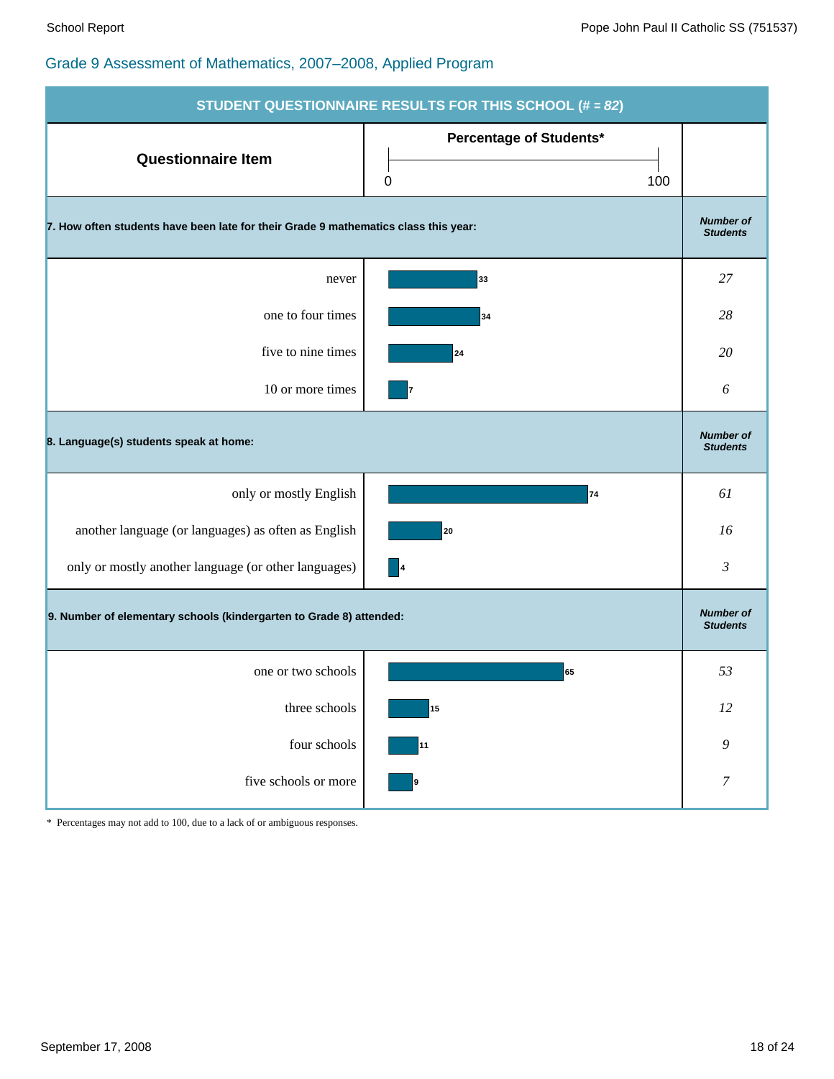| <b>STUDENT QUESTIONNAIRE RESULTS FOR THIS SCHOOL (# = 82)</b>                       |                                     |                                     |  |  |  |
|-------------------------------------------------------------------------------------|-------------------------------------|-------------------------------------|--|--|--|
| <b>Questionnaire Item</b>                                                           | Percentage of Students*<br>0<br>100 |                                     |  |  |  |
| 7. How often students have been late for their Grade 9 mathematics class this year: |                                     | <b>Number of</b><br><b>Students</b> |  |  |  |
| never                                                                               | 33                                  | 27                                  |  |  |  |
| one to four times                                                                   | 34                                  | 28                                  |  |  |  |
| five to nine times                                                                  | 24                                  | 20                                  |  |  |  |
| 10 or more times                                                                    | 7                                   | 6                                   |  |  |  |
| 8. Language(s) students speak at home:                                              |                                     | <b>Number of</b><br><b>Students</b> |  |  |  |
| only or mostly English                                                              | 74                                  | 61                                  |  |  |  |
| another language (or languages) as often as English                                 | 20                                  | 16                                  |  |  |  |
| only or mostly another language (or other languages)                                | $\vert$ 4                           | $\mathfrak{Z}$                      |  |  |  |
| 9. Number of elementary schools (kindergarten to Grade 8) attended:                 |                                     | <b>Number of</b><br><b>Students</b> |  |  |  |
| one or two schools                                                                  | 65                                  | 53                                  |  |  |  |
| three schools                                                                       | 15                                  | $12\,$                              |  |  |  |
| four schools                                                                        | 11                                  | 9                                   |  |  |  |
| five schools or more                                                                | 9                                   | $\boldsymbol{7}$                    |  |  |  |

\* Percentages may not add to 100, due to a lack of or ambiguous responses.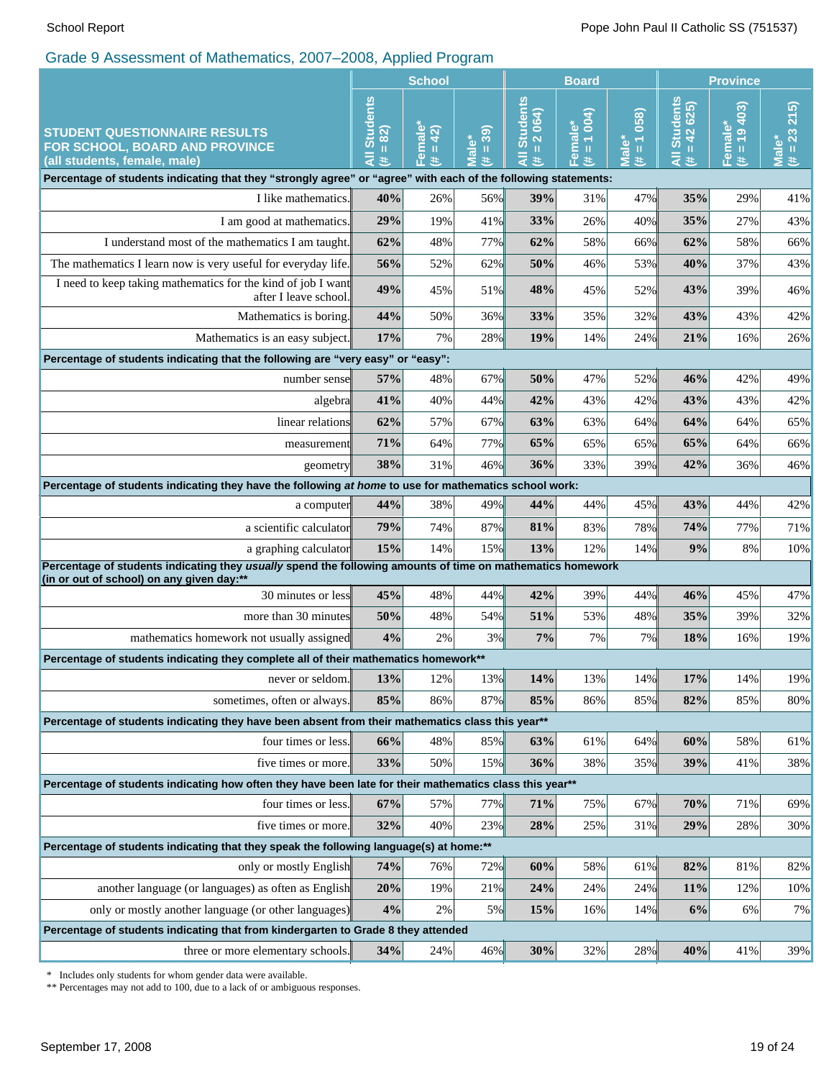|                                                                                                                                                         | <b>School</b>                                                                                                                                                                                     |                              |                                     | <b>Board</b>                                  |                                                  |                                 | <b>Province</b>                       |                           |                                  |
|---------------------------------------------------------------------------------------------------------------------------------------------------------|---------------------------------------------------------------------------------------------------------------------------------------------------------------------------------------------------|------------------------------|-------------------------------------|-----------------------------------------------|--------------------------------------------------|---------------------------------|---------------------------------------|---------------------------|----------------------------------|
| <b>STUDENT QUESTIONNAIRE RESULTS</b><br>FOR SCHOOL, BOARD AND PROVINCE<br>(all students, female, male)                                                  | <b>Students</b><br>82)<br>$\mathbf{H}% =\mathbf{H}^{T}\mathbf{v}^{T}\mathbf{v}^{T}\mathbf{v}^{T}+\mathbf{H}^{T}\mathbf{v}^{T}\mathbf{v}^{T}+\mathbf{H}^{T}\mathbf{v}^{T}\mathbf{v}^{T}$<br>₹<br>共 | Female<br>42<br>$\,$ II<br>进 | 39)<br><b>Male*</b><br>$\rm H$<br>共 | <b>Students</b><br>2064)<br>$\rm H$<br>₹<br>共 | $\frac{1004}{1}$<br>Female<br>$\mathbf{II}$<br>共 | $# = 1058$<br>Male <sup>*</sup> | <b>All Students</b><br>$= 42625$<br>进 | $= 19403$<br>Female*<br>进 | $(\# = 23\ 215)$<br><b>Male*</b> |
| Percentage of students indicating that they "strongly agree" or "agree" with each of the following statements:                                          |                                                                                                                                                                                                   |                              |                                     |                                               |                                                  |                                 |                                       |                           |                                  |
| I like mathematics.                                                                                                                                     | 40%                                                                                                                                                                                               | 26%                          | 56%                                 | 39%                                           | 31%                                              | 47%                             | 35%                                   | 29%                       | 41%                              |
| I am good at mathematics.                                                                                                                               | 29%                                                                                                                                                                                               | 19%                          | 41%                                 | 33%                                           | 26%                                              | 40%                             | 35%                                   | 27%                       | 43%                              |
| I understand most of the mathematics I am taught.                                                                                                       | 62%                                                                                                                                                                                               | 48%                          | 77%                                 | 62%                                           | 58%                                              | 66%                             | 62%                                   | 58%                       | 66%                              |
| The mathematics I learn now is very useful for everyday life.                                                                                           | 56%                                                                                                                                                                                               | 52%                          | 62%                                 | 50%                                           | 46%                                              | 53%                             | 40%                                   | 37%                       | 43%                              |
| I need to keep taking mathematics for the kind of job I want<br>after I leave school.                                                                   | 49%                                                                                                                                                                                               | 45%                          | 51%                                 | 48%                                           | 45%                                              | 52%                             | 43%                                   | 39%                       | 46%                              |
| Mathematics is boring.                                                                                                                                  | 44%                                                                                                                                                                                               | 50%                          | 36%                                 | 33%                                           | 35%                                              | 32%                             | 43%                                   | 43%                       | 42%                              |
| Mathematics is an easy subject.                                                                                                                         | 17%                                                                                                                                                                                               | 7%                           | 28%                                 | 19%                                           | 14%                                              | 24%                             | 21%                                   | 16%                       | 26%                              |
| Percentage of students indicating that the following are "very easy" or "easy":                                                                         |                                                                                                                                                                                                   |                              |                                     |                                               |                                                  |                                 |                                       |                           |                                  |
| number sensel                                                                                                                                           | 57%                                                                                                                                                                                               | 48%                          | 67%                                 | 50%                                           | 47%                                              | 52%                             | 46%                                   | 42%                       | 49%                              |
| algebra                                                                                                                                                 | 41%                                                                                                                                                                                               | 40%                          | 44%                                 | 42%                                           | 43%                                              | 42%                             | 43%                                   | 43%                       | 42%                              |
| linear relations                                                                                                                                        | 62%                                                                                                                                                                                               | 57%                          | 67%                                 | 63%                                           | 63%                                              | 64%                             | 64%                                   | 64%                       | 65%                              |
| measurement                                                                                                                                             | 71%                                                                                                                                                                                               | 64%                          | 77%                                 | 65%                                           | 65%                                              | 65%                             | 65%                                   | 64%                       | 66%                              |
| geometry                                                                                                                                                | 38%                                                                                                                                                                                               | 31%                          | 46%                                 | 36%                                           | 33%                                              | 39%                             | 42%                                   | 36%                       | 46%                              |
| Percentage of students indicating they have the following at home to use for mathematics school work:                                                   |                                                                                                                                                                                                   |                              |                                     |                                               |                                                  |                                 |                                       |                           |                                  |
| a computer                                                                                                                                              | 44%                                                                                                                                                                                               | 38%                          | 49%                                 | 44%                                           | 44%                                              | 45%                             | 43%                                   | 44%                       | 42%                              |
| a scientific calculator                                                                                                                                 | 79%                                                                                                                                                                                               | 74%                          | 87%                                 | 81%                                           | 83%                                              | 78%                             | 74%                                   | 77%                       | 71%                              |
| a graphing calculator                                                                                                                                   | 15%                                                                                                                                                                                               | 14%                          | 15%                                 | 13%                                           | 12%                                              | 14%                             | 9%                                    | 8%                        | 10%                              |
| Percentage of students indicating they usually spend the following amounts of time on mathematics homework<br>(in or out of school) on any given day:** |                                                                                                                                                                                                   |                              |                                     |                                               |                                                  |                                 |                                       |                           |                                  |
| 30 minutes or less                                                                                                                                      | 45%                                                                                                                                                                                               | 48%                          | 44%                                 | 42%                                           | 39%                                              | 44%                             | 46%                                   | 45%                       | 47%                              |
| more than 30 minutes                                                                                                                                    | 50%                                                                                                                                                                                               | 48%                          | 54%                                 | 51%                                           | 53%                                              | 48%                             | 35%                                   | 39%                       | 32%                              |
| mathematics homework not usually assigned                                                                                                               | 4%                                                                                                                                                                                                | 2%                           | 3%                                  | 7%                                            | 7%                                               | 7%                              | 18%                                   | 16%                       | 19%                              |
| Percentage of students indicating they complete all of their mathematics homework**                                                                     |                                                                                                                                                                                                   |                              |                                     |                                               |                                                  |                                 |                                       |                           |                                  |
| never or seldom.                                                                                                                                        | 13%                                                                                                                                                                                               | 12%                          | 13%                                 | 14%                                           | 13%                                              | 14%                             | 17%                                   | 14%                       | 19%                              |
| sometimes, often or always.                                                                                                                             | 85%                                                                                                                                                                                               | 86%                          | 87%                                 | 85%                                           | 86%                                              | 85%                             | 82%                                   | 85%                       | 80%                              |
| Percentage of students indicating they have been absent from their mathematics class this year**                                                        |                                                                                                                                                                                                   |                              |                                     |                                               |                                                  |                                 |                                       |                           |                                  |
| four times or less.                                                                                                                                     | 66%                                                                                                                                                                                               | 48%                          | 85%                                 | 63%                                           | 61%                                              | 64%                             | 60%                                   | 58%                       | 61%                              |
| five times or more.                                                                                                                                     | 33%                                                                                                                                                                                               | 50%                          | 15%                                 | 36%                                           | 38%                                              | 35%                             | 39%                                   | 41%                       | 38%                              |
| Percentage of students indicating how often they have been late for their mathematics class this year**                                                 |                                                                                                                                                                                                   |                              |                                     |                                               |                                                  |                                 |                                       |                           |                                  |
| four times or less.                                                                                                                                     | 67%                                                                                                                                                                                               | 57%                          | 77%                                 | 71%                                           | 75%                                              | 67%                             | 70%                                   | 71%                       | 69%                              |
| five times or more.                                                                                                                                     | 32%                                                                                                                                                                                               | 40%                          | 23%                                 | 28%                                           | 25%                                              | 31%                             | 29%                                   | 28%                       | 30%                              |
| Percentage of students indicating that they speak the following language(s) at home:**                                                                  |                                                                                                                                                                                                   |                              |                                     |                                               |                                                  |                                 |                                       |                           |                                  |
| only or mostly English                                                                                                                                  | 74%                                                                                                                                                                                               | 76%                          | 72%                                 | 60%                                           | 58%                                              | 61%                             | 82%                                   | 81%                       | 82%                              |
| another language (or languages) as often as English                                                                                                     | 20%                                                                                                                                                                                               | 19%                          | 21%                                 | 24%                                           | 24%                                              | 24%                             | <b>11%</b>                            | 12%                       | 10%                              |
| only or mostly another language (or other languages)                                                                                                    | 4%                                                                                                                                                                                                | 2%                           | 5%                                  | 15%                                           | 16%                                              | 14%                             | 6%                                    | 6%                        | 7%                               |
| Percentage of students indicating that from kindergarten to Grade 8 they attended                                                                       |                                                                                                                                                                                                   |                              |                                     |                                               |                                                  |                                 |                                       |                           |                                  |
| three or more elementary schools.                                                                                                                       | 34%                                                                                                                                                                                               | 24%                          | 46%                                 | 30%                                           | 32%                                              | 28%                             | 40%                                   | 41%                       | 39%                              |

\* Includes only students for whom gender data were available.

\*\* Percentages may not add to 100, due to a lack of or ambiguous responses.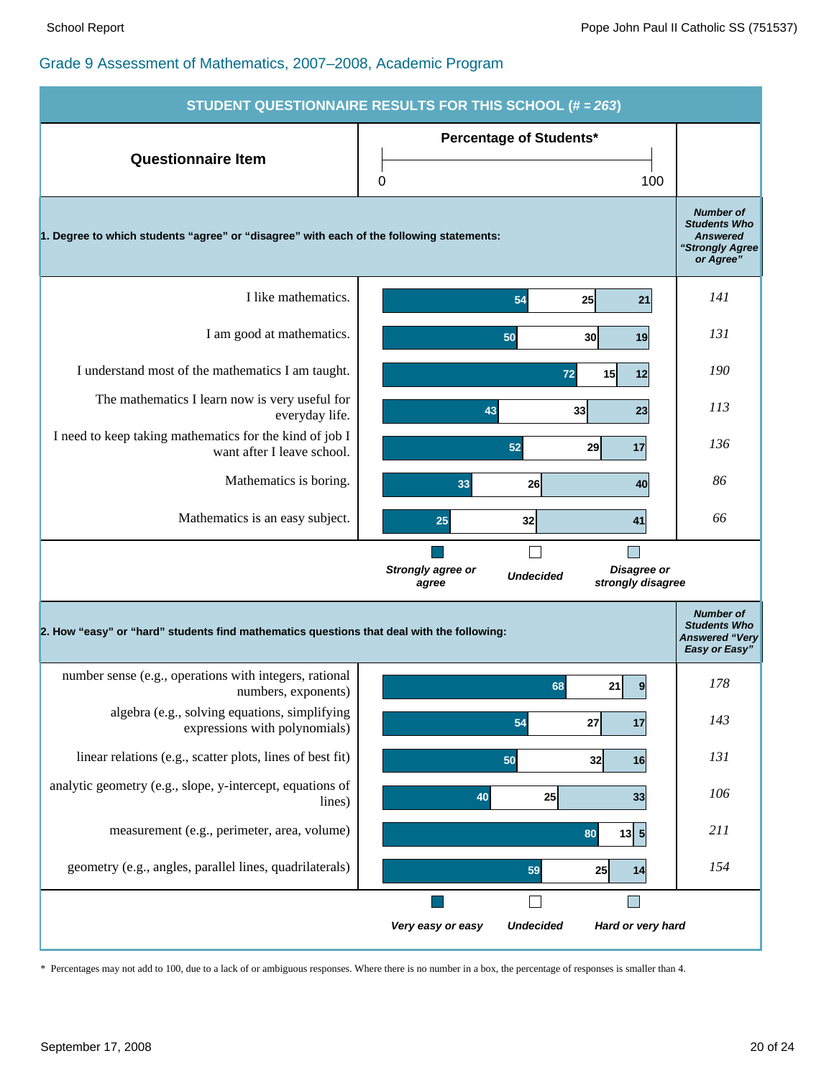| <b>STUDENT QUESTIONNAIRE RESULTS FOR THIS SCHOOL (# = 263)</b>                                                                                                                 |                                                                                                                |                                                                                            |  |
|--------------------------------------------------------------------------------------------------------------------------------------------------------------------------------|----------------------------------------------------------------------------------------------------------------|--------------------------------------------------------------------------------------------|--|
| <b>Questionnaire Item</b>                                                                                                                                                      | <b>Percentage of Students*</b>                                                                                 |                                                                                            |  |
|                                                                                                                                                                                | 100<br>0                                                                                                       |                                                                                            |  |
| 1. Degree to which students "agree" or "disagree" with each of the following statements:                                                                                       |                                                                                                                | <b>Number of</b><br><b>Students Who</b><br><b>Answered</b><br>"Strongly Agree<br>or Agree" |  |
| I like mathematics.                                                                                                                                                            | 54<br>25<br>21                                                                                                 | <i>141</i>                                                                                 |  |
| I am good at mathematics.                                                                                                                                                      | 50<br>30 <sup>1</sup><br>19                                                                                    | 131                                                                                        |  |
| I understand most of the mathematics I am taught.                                                                                                                              | 15 <sup>1</sup><br>12<br>72                                                                                    | 190                                                                                        |  |
| The mathematics I learn now is very useful for<br>everyday life.                                                                                                               | 43<br>33<br>23                                                                                                 | 113                                                                                        |  |
| I need to keep taking mathematics for the kind of job I<br>want after I leave school.                                                                                          | 52<br>29<br>17                                                                                                 | 136                                                                                        |  |
| Mathematics is boring.                                                                                                                                                         | 26<br>33<br>40                                                                                                 | 86                                                                                         |  |
| Mathematics is an easy subject.                                                                                                                                                | 32<br>41<br>25                                                                                                 | 66                                                                                         |  |
|                                                                                                                                                                                | $\overline{\phantom{a}}$<br>Disagree or<br>Strongly agree or<br><b>Undecided</b><br>strongly disagree<br>agree |                                                                                            |  |
| <b>Number of</b><br><b>Students Who</b><br>2. How "easy" or "hard" students find mathematics questions that deal with the following:<br><b>Answered "Very</b><br>Easy or Easy" |                                                                                                                |                                                                                            |  |
| number sense (e.g., operations with integers, rational<br>numbers, exponents)                                                                                                  | 21<br>68<br>$\boldsymbol{9}$                                                                                   | 178                                                                                        |  |
| algebra (e.g., solving equations, simplifying<br>expressions with polynomials)                                                                                                 | 27<br>17<br>54                                                                                                 | 143                                                                                        |  |
| linear relations (e.g., scatter plots, lines of best fit)                                                                                                                      | 50<br>32<br>16                                                                                                 | 131                                                                                        |  |
| analytic geometry (e.g., slope, y-intercept, equations of<br>lines)                                                                                                            | 25<br>40<br>33                                                                                                 | 106                                                                                        |  |
| measurement (e.g., perimeter, area, volume)                                                                                                                                    | $13\overline{5}$<br>80                                                                                         | 211                                                                                        |  |
| geometry (e.g., angles, parallel lines, quadrilaterals)                                                                                                                        | 59<br>25<br>14                                                                                                 | 154                                                                                        |  |
|                                                                                                                                                                                | $\Box$                                                                                                         |                                                                                            |  |
|                                                                                                                                                                                | <b>Undecided</b><br>Hard or very hard<br>Very easy or easy                                                     |                                                                                            |  |

\* Percentages may not add to 100, due to a lack of or ambiguous responses. Where there is no number in a box, the percentage of responses is smaller than 4.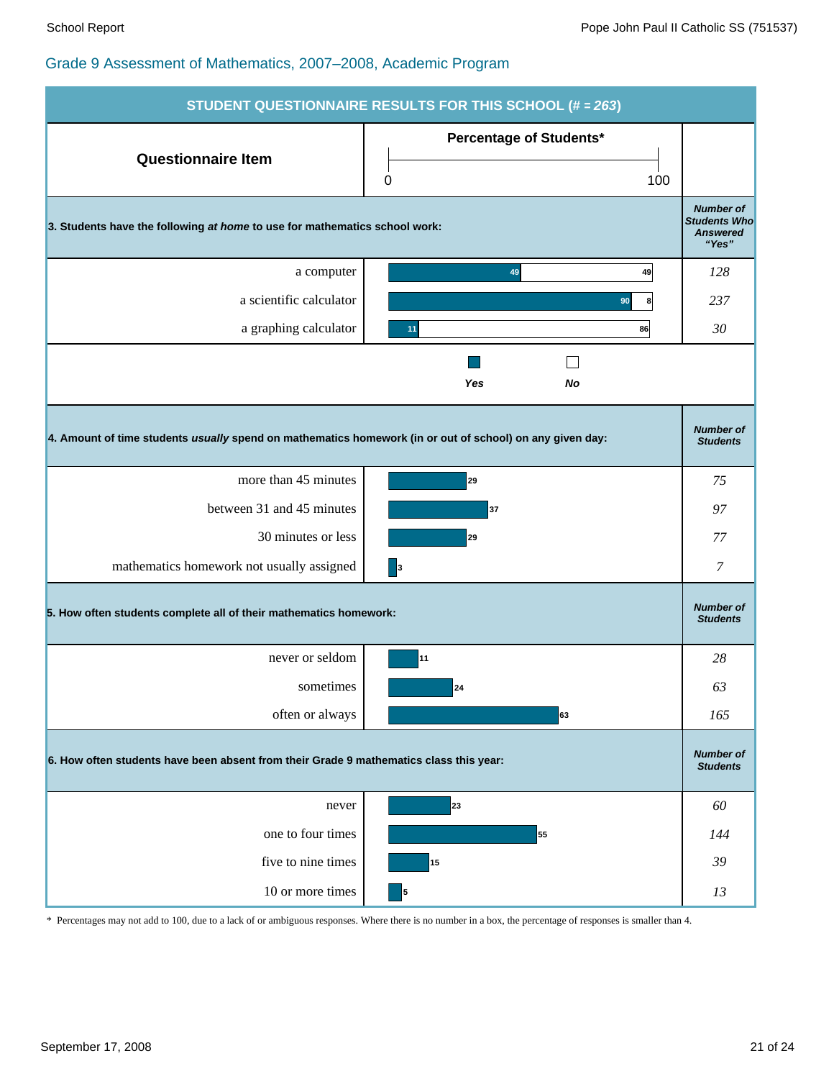| <b>STUDENT QUESTIONNAIRE RESULTS FOR THIS SCHOOL (# = 263)</b>                                           |                                            |                                                                     |  |  |
|----------------------------------------------------------------------------------------------------------|--------------------------------------------|---------------------------------------------------------------------|--|--|
| <b>Questionnaire Item</b>                                                                                | <b>Percentage of Students*</b><br>100<br>0 |                                                                     |  |  |
| 3. Students have the following at home to use for mathematics school work:                               |                                            | <b>Number of</b><br><b>Students Who</b><br><b>Answered</b><br>"Yes" |  |  |
| a computer                                                                                               | 49<br>49                                   | 128                                                                 |  |  |
| a scientific calculator                                                                                  | 90<br>8                                    | 237                                                                 |  |  |
| a graphing calculator                                                                                    | 86<br>11                                   | 30                                                                  |  |  |
|                                                                                                          | Yes<br>No                                  |                                                                     |  |  |
| 4. Amount of time students usually spend on mathematics homework (in or out of school) on any given day: |                                            | <b>Number of</b><br><b>Students</b>                                 |  |  |
| more than 45 minutes                                                                                     | 29                                         | 75                                                                  |  |  |
| between 31 and 45 minutes                                                                                | 37                                         | 97                                                                  |  |  |
| 30 minutes or less                                                                                       | 29                                         | 77                                                                  |  |  |
| mathematics homework not usually assigned                                                                | $\vert$ <sub>3</sub>                       | 7                                                                   |  |  |
| 5. How often students complete all of their mathematics homework:                                        |                                            | <b>Number of</b><br><b>Students</b>                                 |  |  |
| never or seldom                                                                                          | 11                                         | 28                                                                  |  |  |
| sometimes                                                                                                | 24                                         | 63                                                                  |  |  |
| often or always                                                                                          | 63                                         | 165                                                                 |  |  |
| 6. How often students have been absent from their Grade 9 mathematics class this year:                   |                                            | <b>Number of</b><br><b>Students</b>                                 |  |  |
| never                                                                                                    | 23                                         | 60                                                                  |  |  |
| one to four times                                                                                        | 55                                         | 144                                                                 |  |  |
| five to nine times                                                                                       | 15                                         | 39                                                                  |  |  |
| 10 or more times                                                                                         | 5                                          | 13                                                                  |  |  |

\* Percentages may not add to 100, due to a lack of or ambiguous responses. Where there is no number in a box, the percentage of responses is smaller than 4.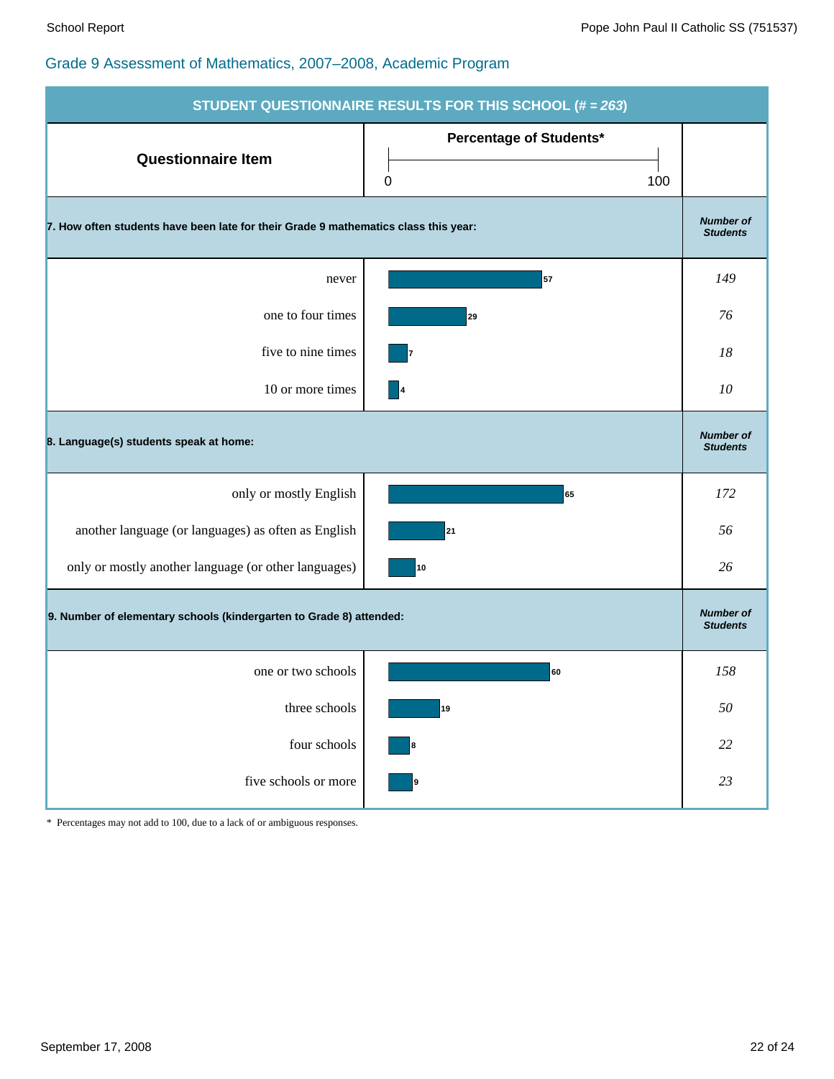| <b>STUDENT QUESTIONNAIRE RESULTS FOR THIS SCHOOL (# = 263)</b>                      |                                     |                                     |  |
|-------------------------------------------------------------------------------------|-------------------------------------|-------------------------------------|--|
| <b>Questionnaire Item</b>                                                           | Percentage of Students*<br>0<br>100 |                                     |  |
| 7. How often students have been late for their Grade 9 mathematics class this year: |                                     | <b>Number of</b><br><b>Students</b> |  |
| never                                                                               | 57                                  | 149                                 |  |
| one to four times                                                                   | 29                                  | 76                                  |  |
| five to nine times                                                                  | 17                                  | 18                                  |  |
| 10 or more times                                                                    | $\overline{\phantom{a}}$            | 10                                  |  |
| 8. Language(s) students speak at home:                                              |                                     |                                     |  |
| only or mostly English                                                              | 65                                  | 172                                 |  |
| another language (or languages) as often as English                                 | 21                                  | 56                                  |  |
| only or mostly another language (or other languages)                                | 10                                  | 26                                  |  |
| 9. Number of elementary schools (kindergarten to Grade 8) attended:                 |                                     | <b>Number of</b><br><b>Students</b> |  |
| one or two schools                                                                  | 60                                  | 158                                 |  |
| three schools                                                                       | 19                                  | $50\,$                              |  |
| four schools                                                                        | 8                                   | $22\,$                              |  |
| five schools or more                                                                | 9                                   | $23\,$                              |  |

\* Percentages may not add to 100, due to a lack of or ambiguous responses.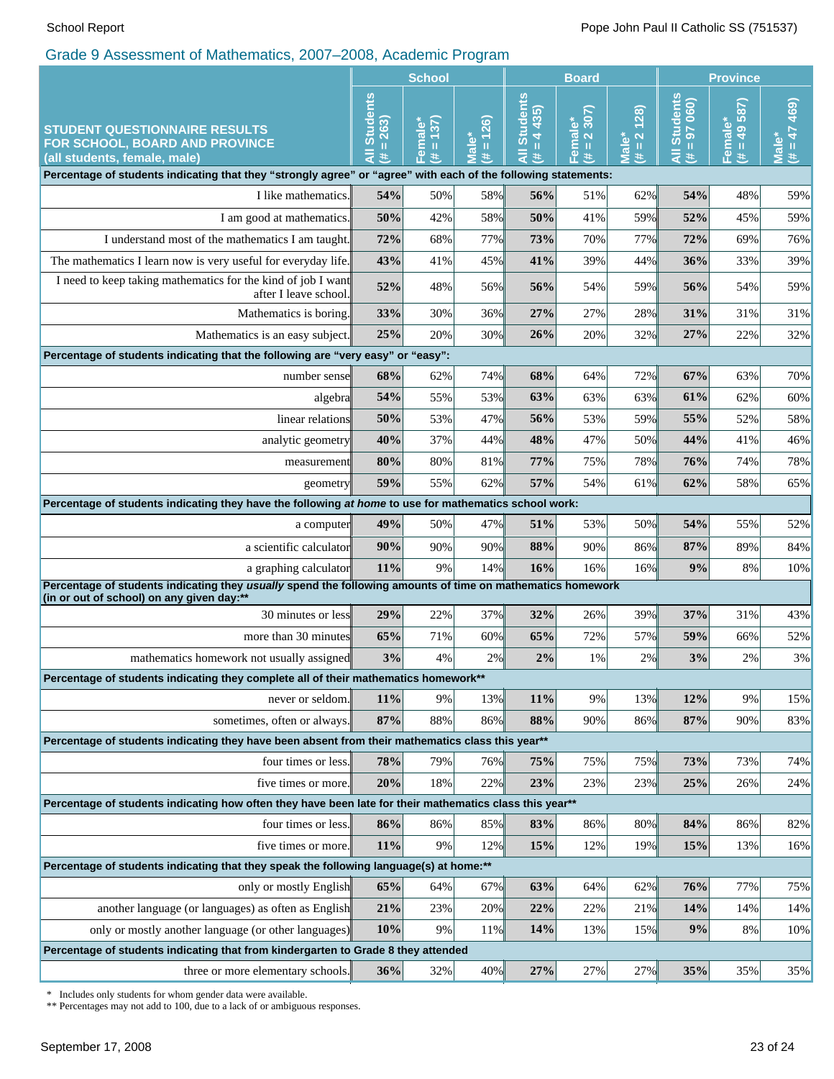|                                                                                                                                                         | <b>School</b>                                                  |                                              | <b>Board</b>                                                                                                                                                                                                                                                                                    |                                               |                                                    | <b>Province</b>                                                         |                                         |                           |                                       |
|---------------------------------------------------------------------------------------------------------------------------------------------------------|----------------------------------------------------------------|----------------------------------------------|-------------------------------------------------------------------------------------------------------------------------------------------------------------------------------------------------------------------------------------------------------------------------------------------------|-----------------------------------------------|----------------------------------------------------|-------------------------------------------------------------------------|-----------------------------------------|---------------------------|---------------------------------------|
| <b>STUDENT QUESTIONNAIRE RESULTS</b><br>FOR SCHOOL, BOARD AND PROVINCE<br>(all students, female, male)                                                  | <b>Students</b><br>263<br>$\mathbf{II}$<br>$\bar{a}$<br>$\ast$ | 137)<br>$\bullet$<br>Femal<br><b>II</b><br># | $\mathbf{\widehat{26}}$<br>$\frac{1}{2}$<br>$\mathbf{H}% =\mathbf{H}^{T}\mathbf{v}^{T}\mathbf{v}^{T}\mathbf{v}^{T}+\mathbf{H}^{T}\mathbf{v}^{T}\mathbf{v}^{T}+\mathbf{H}^{T}\mathbf{v}^{T}\mathbf{v}^{T}+\mathbf{H}^{T}\mathbf{v}^{T}\mathbf{v}^{T}+\mathbf{H}^{T}\mathbf{v}^{T}\mathbf{v}^{T}$ | <b>Students</b><br>4 435<br>$\,$ II<br>Ę<br>業 | 307)<br>$\overline{\mathbf{N}}$<br>Femal<br>Ш<br># | (38)<br>$\overline{\mathbf{N}}$<br>Male <sup>*</sup><br>$\rm{II}$<br>Ħ. | All Students<br>97 060)<br>$\rm H$<br>共 | $= 49587$<br>Female*<br>巷 | 469)<br>$H = 47$<br>Male <sup>®</sup> |
| Percentage of students indicating that they "strongly agree" or "agree" with each of the following statements:                                          |                                                                |                                              |                                                                                                                                                                                                                                                                                                 |                                               |                                                    |                                                                         |                                         |                           |                                       |
| I like mathematics.                                                                                                                                     | 54%                                                            | 50%                                          | 58%                                                                                                                                                                                                                                                                                             | 56%                                           | 51%                                                | 62%                                                                     | 54%                                     | 48%                       | 59%                                   |
| I am good at mathematics.                                                                                                                               | 50%                                                            | 42%                                          | 58%                                                                                                                                                                                                                                                                                             | 50%                                           | 41%                                                | 59%                                                                     | 52%                                     | 45%                       | 59%                                   |
| I understand most of the mathematics I am taught.                                                                                                       | 72%                                                            | 68%                                          | 77%                                                                                                                                                                                                                                                                                             | 73%                                           | 70%                                                | 77%                                                                     | 72%                                     | 69%                       | 76%                                   |
| The mathematics I learn now is very useful for everyday life.                                                                                           | 43%                                                            | 41%                                          | 45%                                                                                                                                                                                                                                                                                             | 41%                                           | 39%                                                | 44%                                                                     | 36%                                     | 33%                       | 39%                                   |
| I need to keep taking mathematics for the kind of job I want<br>after I leave school.                                                                   | 52%                                                            | 48%                                          | 56%                                                                                                                                                                                                                                                                                             | 56%                                           | 54%                                                | 59%                                                                     | 56%                                     | 54%                       | 59%                                   |
| Mathematics is boring.                                                                                                                                  | 33%                                                            | 30%                                          | 36%                                                                                                                                                                                                                                                                                             | 27%                                           | 27%                                                | 28%                                                                     | 31%                                     | 31%                       | 31%                                   |
| Mathematics is an easy subject.                                                                                                                         | 25%                                                            | 20%                                          | 30%                                                                                                                                                                                                                                                                                             | 26%                                           | 20%                                                | 32%                                                                     | 27%                                     | 22%                       | 32%                                   |
| Percentage of students indicating that the following are "very easy" or "easy":                                                                         |                                                                |                                              |                                                                                                                                                                                                                                                                                                 |                                               |                                                    |                                                                         |                                         |                           |                                       |
| number sensel                                                                                                                                           | 68%                                                            | 62%                                          | 74%                                                                                                                                                                                                                                                                                             | 68%                                           | 64%                                                | 72%                                                                     | 67%                                     | 63%                       | 70%                                   |
| algebra                                                                                                                                                 | 54%                                                            | 55%                                          | 53%                                                                                                                                                                                                                                                                                             | 63%                                           | 63%                                                | 63%                                                                     | 61%                                     | 62%                       | 60%                                   |
| linear relations                                                                                                                                        | 50%                                                            | 53%                                          | 47%                                                                                                                                                                                                                                                                                             | 56%                                           | 53%                                                | 59%                                                                     | 55%                                     | 52%                       | 58%                                   |
| analytic geometry                                                                                                                                       | 40%                                                            | 37%                                          | 44%                                                                                                                                                                                                                                                                                             | 48%                                           | 47%                                                | 50%                                                                     | 44%                                     | 41%                       | 46%                                   |
| measurement                                                                                                                                             | 80%                                                            | 80%                                          | 81%                                                                                                                                                                                                                                                                                             | 77%                                           | 75%                                                | 78%                                                                     | 76%                                     | 74%                       | 78%                                   |
| geometry                                                                                                                                                | 59%                                                            | 55%                                          | 62%                                                                                                                                                                                                                                                                                             | 57%                                           | 54%                                                | 61%                                                                     | 62%                                     | 58%                       | 65%                                   |
| Percentage of students indicating they have the following at home to use for mathematics school work:                                                   |                                                                |                                              |                                                                                                                                                                                                                                                                                                 |                                               |                                                    |                                                                         |                                         |                           |                                       |
| a computer                                                                                                                                              | 49%                                                            | 50%                                          | 47%                                                                                                                                                                                                                                                                                             | 51%                                           | 53%                                                | 50%                                                                     | 54%                                     | 55%                       | 52%                                   |
| a scientific calculator                                                                                                                                 | 90%                                                            | 90%                                          | 90%                                                                                                                                                                                                                                                                                             | 88%                                           | 90%                                                | 86%                                                                     | 87%                                     | 89%                       | 84%                                   |
| a graphing calculator                                                                                                                                   | 11%                                                            | 9%                                           | 14%                                                                                                                                                                                                                                                                                             | 16%                                           | 16%                                                | 16%                                                                     | 9%                                      | 8%                        | 10%                                   |
| Percentage of students indicating they usually spend the following amounts of time on mathematics homework<br>(in or out of school) on any given day:** |                                                                |                                              |                                                                                                                                                                                                                                                                                                 |                                               |                                                    |                                                                         |                                         |                           |                                       |
| 30 minutes or less                                                                                                                                      | 29%                                                            | 22%                                          | 37%                                                                                                                                                                                                                                                                                             | 32%                                           | 26%                                                | 39%                                                                     | 37%                                     | 31%                       | 43%                                   |
| more than 30 minutes                                                                                                                                    | 65%                                                            | 71%                                          | 60%                                                                                                                                                                                                                                                                                             | 65%                                           | 72%                                                | 57%                                                                     | 59%                                     | 66%                       | 52%                                   |
| mathematics homework not usually assigned                                                                                                               | 3%                                                             | 4%                                           | 2%                                                                                                                                                                                                                                                                                              | 2%                                            | 1%                                                 | 2%                                                                      | 3%                                      | 2%                        | 3%                                    |
| Percentage of students indicating they complete all of their mathematics homework**                                                                     |                                                                |                                              |                                                                                                                                                                                                                                                                                                 |                                               |                                                    |                                                                         |                                         |                           |                                       |
| never or seldom.                                                                                                                                        | 11%                                                            | 9%                                           | 13%                                                                                                                                                                                                                                                                                             | 11%                                           | 9%                                                 | 13%                                                                     | 12%                                     | 9%                        | 15%                                   |
| sometimes, often or always.                                                                                                                             | 87%                                                            | 88%                                          | 86%                                                                                                                                                                                                                                                                                             | 88%                                           | 90%                                                | 86%                                                                     | 87%                                     | 90%                       | 83%                                   |
| Percentage of students indicating they have been absent from their mathematics class this year**                                                        |                                                                |                                              |                                                                                                                                                                                                                                                                                                 |                                               |                                                    |                                                                         |                                         |                           |                                       |
| four times or less.                                                                                                                                     | 78%                                                            | 79%                                          | 76%                                                                                                                                                                                                                                                                                             | 75%                                           | 75%                                                | 75%                                                                     | 73%                                     | 73%                       | 74%                                   |
| five times or more.                                                                                                                                     | 20%                                                            | 18%                                          | 22%                                                                                                                                                                                                                                                                                             | 23%                                           | 23%                                                | 23%                                                                     | 25%                                     | 26%                       | 24%                                   |
| Percentage of students indicating how often they have been late for their mathematics class this year**                                                 |                                                                |                                              |                                                                                                                                                                                                                                                                                                 |                                               |                                                    |                                                                         |                                         |                           |                                       |
| four times or less.                                                                                                                                     | 86%                                                            | 86%                                          | 85%                                                                                                                                                                                                                                                                                             | 83%                                           | 86%                                                | 80%                                                                     | 84%                                     | 86%                       | 82%                                   |
| five times or more.                                                                                                                                     | 11%                                                            | 9%                                           | 12%                                                                                                                                                                                                                                                                                             | 15%                                           | 12%                                                | 19%                                                                     | 15%                                     | 13%                       | 16%                                   |
| Percentage of students indicating that they speak the following language(s) at home:**                                                                  |                                                                |                                              |                                                                                                                                                                                                                                                                                                 |                                               |                                                    |                                                                         |                                         |                           |                                       |
| only or mostly English                                                                                                                                  | 65%                                                            | 64%                                          | 67%                                                                                                                                                                                                                                                                                             | 63%                                           | 64%                                                | 62%                                                                     | 76%                                     | 77%                       | 75%                                   |
| another language (or languages) as often as English                                                                                                     | 21%                                                            | 23%                                          | 20%                                                                                                                                                                                                                                                                                             | 22%                                           | 22%                                                | 21%                                                                     | 14%                                     | 14%                       | 14%                                   |
| only or mostly another language (or other languages)                                                                                                    | 10%                                                            | 9%                                           | 11%                                                                                                                                                                                                                                                                                             | 14%                                           | 13%                                                | 15%                                                                     | 9%                                      | 8%                        | 10%                                   |
| Percentage of students indicating that from kindergarten to Grade 8 they attended                                                                       |                                                                |                                              |                                                                                                                                                                                                                                                                                                 |                                               |                                                    |                                                                         |                                         |                           |                                       |
| three or more elementary schools.                                                                                                                       | 36%                                                            | 32%                                          | 40%                                                                                                                                                                                                                                                                                             | 27%                                           | 27%                                                | 27%                                                                     | 35%                                     | 35%                       | 35%                                   |

\* Includes only students for whom gender data were available.

\*\* Percentages may not add to 100, due to a lack of or ambiguous responses.